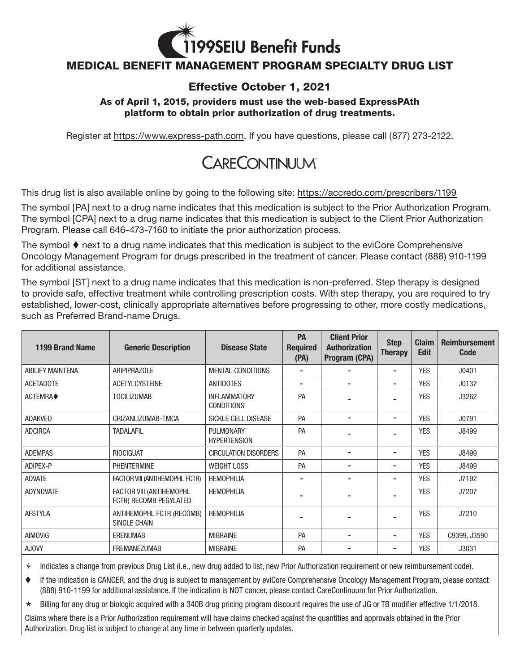

## MEDICAL BENEFIT MANAGEMENT PROGRAM SPECIALTY DRUG LIST

## Effective October 1, 2021

## As of April 1, 2015, providers must use the web-based ExpressPAth platform to obtain prior authorization of drug treatments.

Register at [https://www.express-path.com.](https://www.express-path.com/) If you have questions, please call (877) 273-2122.

## **CARECONTINUUM**

This drug list is also available online by going to the following site: <https://accredo.com/prescribers/1199>

The symbol [PA] next to a drug name indicates that this medication is subject to the Prior Authorization Program. The symbol [CPA] next to a drug name indicates that this medication is subject to the Client Prior Authorization Program. Please call 646-473-7160 to initiate the prior authorization process.

The symbol  $\blacklozenge$  next to a drug name indicates that this medication is subject to the eviCore Comprehensive Oncology Management Program for drugs prescribed in the treatment of cancer. Please contact (888) 910-1199 for additional assistance.

The symbol [ST] next to a drug name indicates that this medication is non-preferred. Step therapy is designed to provide safe, effective treatment while controlling prescription costs. With step therapy, you are required to try established, lower-cost, clinically appropriate alternatives before progressing to other, more costly medications, such as Preferred Brand-name Drugs.

| 1199 Brand Name         | <b>Generic Description</b>                         | <b>Disease State</b>                     | <b>PA</b><br><b>Required</b><br>(PA) | <b>Client Prior</b><br><b>Authorization</b><br>Program (CPA) | <b>Step</b><br><b>Therapy</b> | <b>Claim</b><br><b>Edit</b> | <b>Reimbursement</b><br><b>Code</b> |
|-------------------------|----------------------------------------------------|------------------------------------------|--------------------------------------|--------------------------------------------------------------|-------------------------------|-----------------------------|-------------------------------------|
| <b>ABILIFY MAINTENA</b> | <b>ARIPIPRAZOLE</b>                                | <b>MENTAL CONDITIONS</b>                 |                                      |                                                              | $\blacksquare$                | <b>YES</b>                  | J0401                               |
| <b>ACETADOTE</b>        | <b>ACETYLCYSTEINE</b>                              | <b>ANTIDOTES</b>                         |                                      |                                                              | -                             | <b>YES</b>                  | J0132                               |
| ACTEMRA◆                | <b>TOCILIZUMAB</b>                                 | <b>INFLAMMATORY</b><br><b>CONDITIONS</b> | PA                                   |                                                              | $\blacksquare$                | <b>YES</b>                  | J3262                               |
| <b>ADAKVEO</b>          | CRIZANLIZUMAB-TMCA                                 | SICKLE CELL DISEASE                      | <b>PA</b>                            | $\blacksquare$                                               | $\blacksquare$                | <b>YES</b>                  | J0791                               |
| <b>ADCIRCA</b>          | <b>TADALAFIL</b>                                   | <b>PULMONARY</b><br><b>HYPERTENSION</b>  | PA                                   |                                                              |                               | <b>YES</b>                  | J8499                               |
| <b>ADEMPAS</b>          | <b>RIOCIGUAT</b>                                   | <b>CIRCULATION DISORDERS</b>             | PA                                   | $\blacksquare$                                               | $\blacksquare$                | <b>YES</b>                  | J8499                               |
| ADIPEX-P                | <b>PHENTERMINE</b>                                 | <b>WEIGHT LOSS</b>                       | PA                                   |                                                              | -                             | <b>YES</b>                  | J8499                               |
| <b>ADVATE</b>           | FACTOR VIII (ANTIHEMOPHL FCTR)                     | <b>HEMOPHILIA</b>                        |                                      | $\blacksquare$                                               | $\blacksquare$                | <b>YES</b>                  | J7192                               |
| <b>ADYNOVATE</b>        | FACTOR VIII (ANTIHEMOPHL<br>FCTR) RECOMB PEGYLATED | <b>HEMOPHILIA</b>                        |                                      |                                                              |                               | <b>YES</b>                  | J7207                               |
| <b>AFSTYLA</b>          | ANTIHEMOPHL FCTR (RECOMB)<br>SINGLE CHAIN          | <b>HEMOPHILIA</b>                        |                                      |                                                              |                               | <b>YES</b>                  | J7210                               |
| <b>AIMOVIG</b>          | <b>ERENUMAB</b>                                    | <b>MIGRAINE</b>                          | PA                                   | $\overline{\phantom{0}}$                                     | $\blacksquare$                | <b>YES</b>                  | C9399, J3590                        |
| <b>AJOVY</b>            | <b>FREMANEZUMAB</b>                                | <b>MIGRAINE</b>                          | <b>PA</b>                            |                                                              | $\blacksquare$                | <b>YES</b>                  | J3031                               |

 $*$  Indicates a change from previous Drug List (i.e., new drug added to list, new Prior Authorization requirement or new reimbursement code).

 If the indication is CANCER, and the drug is subject to management by eviCore Comprehensive Oncology Management Program, please contact (888) 910-1199 for additional assistance. If the indication is NOT cancer, please contact CareContinuum for Prior Authorization.

 $\star$  Billing for any drug or biologic acquired with a 340B drug pricing program discount requires the use of JG or TB modifier effective 1/1/2018.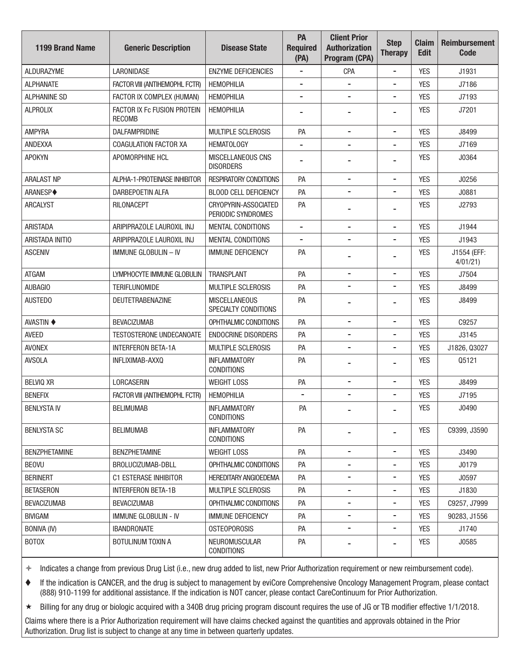| <b>1199 Brand Name</b> | <b>Generic Description</b>                   | <b>Disease State</b>                         | PA<br><b>Required</b><br>(PA) | <b>Client Prior</b><br><b>Authorization</b><br>Program (CPA) | <b>Step</b><br><b>Therapy</b> | <b>Claim</b><br><b>Edit</b> | <b>Reimbursement</b><br><b>Code</b> |
|------------------------|----------------------------------------------|----------------------------------------------|-------------------------------|--------------------------------------------------------------|-------------------------------|-----------------------------|-------------------------------------|
| <b>ALDURAZYME</b>      | <b>LARONIDASE</b>                            | <b>ENZYME DEFICIENCIES</b>                   |                               | <b>CPA</b>                                                   | $\overline{\phantom{a}}$      | <b>YES</b>                  | J1931                               |
| <b>ALPHANATE</b>       | FACTOR VIII (ANTIHEMOPHL FCTR)               | <b>HEMOPHILIA</b>                            | $\blacksquare$                | $\overline{\phantom{a}}$                                     | $\overline{\phantom{a}}$      | <b>YES</b>                  | J7186                               |
| ALPHANINE SD           | FACTOR IX COMPLEX (HUMAN)                    | <b>HEMOPHILIA</b>                            |                               |                                                              | $\overline{a}$                | <b>YES</b>                  | J7193                               |
| <b>ALPROLIX</b>        | FACTOR IX Fc FUSION PROTEIN<br><b>RECOMB</b> | <b>HEMOPHILIA</b>                            |                               |                                                              |                               | <b>YES</b>                  | J7201                               |
| <b>AMPYRA</b>          | DALFAMPRIDINE                                | <b>MULTIPLE SCLEROSIS</b>                    | PA                            |                                                              | $\overline{\phantom{a}}$      | <b>YES</b>                  | J8499                               |
| ANDEXXA                | COAGULATION FACTOR XA                        | <b>HEMATOLOGY</b>                            |                               | $\blacksquare$                                               | -                             | <b>YES</b>                  | J7169                               |
| <b>APOKYN</b>          | APOMORPHINE HCL                              | <b>MISCELLANEOUS CNS</b><br><b>DISORDERS</b> |                               |                                                              | $\overline{\phantom{0}}$      | <b>YES</b>                  | J0364                               |
| <b>ARALAST NP</b>      | ALPHA-1-PROTEINASE INHIBITOR                 | <b>RESPIRATORY CONDITIONS</b>                | PA                            | $\overline{\phantom{a}}$                                     | $\overline{\phantom{a}}$      | <b>YES</b>                  | J0256                               |
| ARANESP◆               | DARBEPOETIN ALFA                             | <b>BLOOD CELL DEFICIENCY</b>                 | PA                            | $\overline{\phantom{a}}$                                     | $\qquad \qquad \blacksquare$  | <b>YES</b>                  | J0881                               |
| <b>ARCALYST</b>        | RILONACEPT                                   | CRYOPYRIN-ASSOCIATED<br>PERIODIC SYNDROMES   | PA                            |                                                              |                               | <b>YES</b>                  | J2793                               |
| <b>ARISTADA</b>        | ARIPIPRAZOLE LAUROXIL INJ                    | <b>MENTAL CONDITIONS</b>                     | $\overline{\phantom{a}}$      | $\overline{\phantom{a}}$                                     | $\overline{\phantom{a}}$      | <b>YES</b>                  | J1944                               |
| ARISTADA INITIO        | ARIPIPRAZOLE LAUROXIL INJ                    | <b>MENTAL CONDITIONS</b>                     |                               |                                                              | -                             | <b>YES</b>                  | J1943                               |
| <b>ASCENIV</b>         | <b>IMMUNE GLOBULIN - IV</b>                  | <b>IMMUNE DEFICIENCY</b>                     | PA                            |                                                              | $\overline{\phantom{0}}$      | <b>YES</b>                  | J1554 (EFF:<br>4/01/21              |
| <b>ATGAM</b>           | LYMPHOCYTE IMMUNE GLOBULIN                   | <b>TRANSPLANT</b>                            | PA                            | $\overline{\phantom{a}}$                                     | $\qquad \qquad \blacksquare$  | <b>YES</b>                  | J7504                               |
| AUBAGIO                | <b>TERIFLUNOMIDE</b>                         | <b>MULTIPLE SCLEROSIS</b>                    | PA                            | $\blacksquare$                                               | -                             | <b>YES</b>                  | J8499                               |
| <b>AUSTEDO</b>         | <b>DEUTETRABENAZINE</b>                      | <b>MISCELLANEOUS</b><br>SPECIALTY CONDITIONS | PA                            | $\blacksquare$                                               | -                             | <b>YES</b>                  | J8499                               |
| <b>AVASTIN ♦</b>       | <b>BEVACIZUMAB</b>                           | OPHTHALMIC CONDITIONS                        | PA                            | $\overline{\phantom{a}}$                                     | $\overline{a}$                | <b>YES</b>                  | C9257                               |
| <b>AVEED</b>           | <b>TESTOSTERONE UNDECANOATE</b>              | <b>ENDOCRINE DISORDERS</b>                   | PA                            |                                                              | $\overline{\phantom{a}}$      | <b>YES</b>                  | J3145                               |
| <b>AVONEX</b>          | <b>INTERFERON BETA-1A</b>                    | MULTIPLE SCLEROSIS                           | PA                            | $\overline{\phantom{a}}$                                     | $\overline{\phantom{a}}$      | <b>YES</b>                  | J1826, Q3027                        |
| <b>AVSOLA</b>          | INFLIXIMAB-AXXQ                              | <b>INFLAMMATORY</b><br><b>CONDITIONS</b>     | PA                            |                                                              | -                             | <b>YES</b>                  | Q5121                               |
| <b>BELVIQ XR</b>       | <b>LORCASERIN</b>                            | <b>WEIGHT LOSS</b>                           | PA                            | $\blacksquare$                                               | $\overline{\phantom{0}}$      | <b>YES</b>                  | J8499                               |
| <b>BENEFIX</b>         | FACTOR VIII (ANTIHEMOPHL FCTR)               | <b>HEMOPHILIA</b>                            |                               | $\blacksquare$                                               | $\blacksquare$                | <b>YES</b>                  | J7195                               |
| <b>BENLYSTA IV</b>     | <b>BELIMUMAB</b>                             | <b>INFLAMMATORY</b><br><b>CONDITIONS</b>     | PA                            |                                                              |                               | <b>YES</b>                  | J0490                               |
| <b>BENLYSTA SC</b>     | <b>BELIMUMAB</b>                             | <b>INFLAMMATORY</b><br><b>CONDITIONS</b>     | PA                            |                                                              |                               | <b>YES</b>                  | C9399, J3590                        |
| <b>BENZPHETAMINE</b>   | <b>BENZPHETAMINE</b>                         | <b>WEIGHT LOSS</b>                           | PA                            | $\overline{\phantom{a}}$                                     | $\overline{\phantom{a}}$      | <b>YES</b>                  | J3490                               |
| <b>BEOVU</b>           | BROLUCIZUMAB-DBLL                            | OPHTHALMIC CONDITIONS                        | <b>PA</b>                     | $\blacksquare$                                               | -                             | <b>YES</b>                  | J0179                               |
| <b>BERINERT</b>        | C1 ESTERASE INHIBITOR                        | <b>HEREDITARY ANGIOEDEMA</b>                 | PA                            | $\overline{\phantom{a}}$                                     | $\overline{\phantom{a}}$      | <b>YES</b>                  | J0597                               |
| <b>BETASERON</b>       | <b>INTERFERON BETA-1B</b>                    | MULTIPLE SCLEROSIS                           | PA                            | $\overline{\phantom{a}}$                                     | -                             | <b>YES</b>                  | J1830                               |
| <b>BEVACIZUMAB</b>     | <b>BEVACIZUMAB</b>                           | OPHTHALMIC CONDITIONS                        | PA                            | $\overline{\phantom{a}}$                                     | $\overline{\phantom{a}}$      | <b>YES</b>                  | C9257, J7999                        |
| <b>BIVIGAM</b>         | IMMUNE GLOBULIN - IV                         | <b>IMMUNE DEFICIENCY</b>                     | PA                            | $\blacksquare$                                               | -                             | <b>YES</b>                  | 90283, J1556                        |
| <b>BONIVA (IV)</b>     | <b>IBANDRONATE</b>                           | <b>OSTEOPOROSIS</b>                          | PA                            | $\overline{\phantom{a}}$                                     | $\overline{\phantom{a}}$      | <b>YES</b>                  | J1740                               |
| <b>BOTOX</b>           | <b>BOTULINUM TOXIN A</b>                     | <b>NEUROMUSCULAR</b><br><b>CONDITIONS</b>    | PA                            |                                                              |                               | <b>YES</b>                  | J0585                               |

 If the indication is CANCER, and the drug is subject to management by eviCore Comprehensive Oncology Management Program, please contact (888) 910-1199 for additional assistance. If the indication is NOT cancer, please contact CareContinuum for Prior Authorization.

Billing for any drug or biologic acquired with a 340B drug pricing program discount requires the use of JG or TB modifer effective 1/1/2018.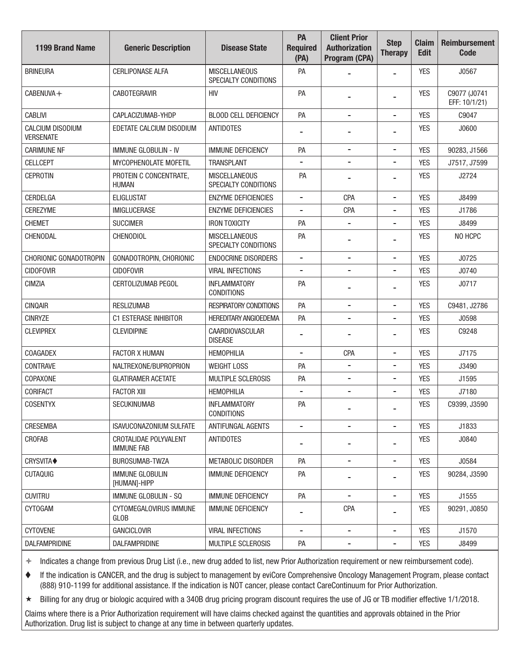| <b>1199 Brand Name</b>               | <b>Generic Description</b>                 | <b>Disease State</b>                         | PA<br><b>Required</b><br>(PA) | <b>Client Prior</b><br><b>Authorization</b><br>Program (CPA) | <b>Step</b><br><b>Therapy</b> | <b>Claim</b><br><b>Edit</b> | <b>Reimbursement</b><br><b>Code</b> |
|--------------------------------------|--------------------------------------------|----------------------------------------------|-------------------------------|--------------------------------------------------------------|-------------------------------|-----------------------------|-------------------------------------|
| <b>BRINEURA</b>                      | <b>CERLIPONASE ALFA</b>                    | <b>MISCELLANEOUS</b><br>SPECIALTY CONDITIONS | PA                            |                                                              | $\overline{\phantom{a}}$      | <b>YES</b>                  | J0567                               |
| CABENUVA+                            | <b>CABOTEGRAVIR</b>                        | <b>HIV</b>                                   | PA                            |                                                              | -                             | <b>YES</b>                  | C9077 (J0741<br>EFF: 10/1/21)       |
| <b>CABLIVI</b>                       | CAPLACIZUMAB-YHDP                          | <b>BLOOD CELL DEFICIENCY</b>                 | PA                            | $\overline{\phantom{a}}$                                     | $\overline{\phantom{a}}$      | <b>YES</b>                  | C9047                               |
| CALCIUM DISODIUM<br><b>VERSENATE</b> | EDETATE CALCIUM DISODIUM                   | <b>ANTIDOTES</b>                             |                               |                                                              | -                             | <b>YES</b>                  | J0600                               |
| <b>CARIMUNE NF</b>                   | <b>IMMUNE GLOBULIN - IV</b>                | <b>IMMUNE DEFICIENCY</b>                     | PA                            | $\overline{\phantom{a}}$                                     | $\overline{\phantom{a}}$      | <b>YES</b>                  | 90283, J1566                        |
| <b>CELLCEPT</b>                      | <b>MYCOPHENOLATE MOFETIL</b>               | <b>TRANSPLANT</b>                            |                               |                                                              | -                             | <b>YES</b>                  | J7517, J7599                        |
| <b>CEPROTIN</b>                      | PROTEIN C CONCENTRATE,<br>HUMAN            | <b>MISCELLANEOUS</b><br>SPECIALTY CONDITIONS | PA                            |                                                              | $\blacksquare$                | <b>YES</b>                  | J2724                               |
| CERDELGA                             | <b>ELIGLUSTAT</b>                          | <b>ENZYME DEFICIENCIES</b>                   | $\overline{\phantom{a}}$      | <b>CPA</b>                                                   | $\overline{\phantom{0}}$      | <b>YES</b>                  | J8499                               |
| <b>CEREZYME</b>                      | <b>IMIGLUCERASE</b>                        | <b>ENZYME DEFICIENCIES</b>                   | -                             | <b>CPA</b>                                                   | -                             | <b>YES</b>                  | J1786                               |
| <b>CHEMET</b>                        | <b>SUCCIMER</b>                            | <b>IRON TOXICITY</b>                         | PA                            |                                                              | -                             | <b>YES</b>                  | J8499                               |
| CHENODAL                             | <b>CHENODIOL</b>                           | <b>MISCELLANEOUS</b><br>SPECIALTY CONDITIONS | PA                            |                                                              | -                             | <b>YES</b>                  | NO HCPC                             |
| CHORIONIC GONADOTROPIN               | GONADOTROPIN, CHORIONIC                    | <b>ENDOCRINE DISORDERS</b>                   | $\overline{\phantom{a}}$      | $\overline{\phantom{a}}$                                     | $\overline{\phantom{a}}$      | <b>YES</b>                  | J0725                               |
| <b>CIDOFOVIR</b>                     | <b>CIDOFOVIR</b>                           | <b>VIRAL INFECTIONS</b>                      |                               |                                                              | -                             | <b>YES</b>                  | J0740                               |
| <b>CIMZIA</b>                        | CERTOLIZUMAB PEGOL                         | <b>INFLAMMATORY</b><br><b>CONDITIONS</b>     | PA                            |                                                              | -                             | <b>YES</b>                  | J0717                               |
| <b>CINQAIR</b>                       | <b>RESLIZUMAB</b>                          | <b>RESPIRATORY CONDITIONS</b>                | PA                            |                                                              | -                             | <b>YES</b>                  | C9481, J2786                        |
| <b>CINRYZE</b>                       | <b>C1 ESTERASE INHIBITOR</b>               | <b>HEREDITARY ANGIOEDEMA</b>                 | PA                            | $\overline{\phantom{a}}$                                     | $\overline{\phantom{a}}$      | <b>YES</b>                  | J0598                               |
| <b>CLEVIPREX</b>                     | <b>CLEVIDIPINE</b>                         | <b>CAARDIOVASCULAR</b><br><b>DISEASE</b>     |                               |                                                              | $\overline{a}$                | <b>YES</b>                  | C9248                               |
| <b>COAGADEX</b>                      | <b>FACTOR X HUMAN</b>                      | <b>HEMOPHILIA</b>                            | -                             | <b>CPA</b>                                                   | $\qquad \qquad \blacksquare$  | <b>YES</b>                  | J7175                               |
| <b>CONTRAVE</b>                      | NALTREXONE/BUPROPRION                      | <b>WEIGHT LOSS</b>                           | PA                            | $\overline{\phantom{a}}$                                     | -                             | <b>YES</b>                  | J3490                               |
| COPAXONE                             | <b>GLATIRAMER ACETATE</b>                  | MULTIPLE SCLEROSIS                           | PA                            | $\overline{\phantom{a}}$                                     | -                             | <b>YES</b>                  | J1595                               |
| <b>CORIFACT</b>                      | <b>FACTOR XIII</b>                         | <b>HEMOPHILIA</b>                            |                               | $\overline{\phantom{0}}$                                     | $\overline{a}$                | <b>YES</b>                  | J7180                               |
| <b>COSENTYX</b>                      | SECUKINUMAB                                | <b>INFLAMMATORY</b><br><b>CONDITIONS</b>     | PA                            |                                                              |                               | <b>YES</b>                  | C9399, J3590                        |
| CRESEMBA                             | <b>ISAVUCONAZONIUM SULFATE</b>             | ANTIFUNGAL AGENTS                            | $\overline{\phantom{0}}$      | $\overline{\phantom{0}}$                                     | $\overline{\phantom{0}}$      | <b>YES</b>                  | J1833                               |
| CROFAB                               | CROTALIDAE POLYVALENT<br><b>IMMUNE FAB</b> | ANTIDOTES                                    |                               | $\overline{\phantom{a}}$                                     | -                             | <b>YES</b>                  | J0840                               |
| CRYSVITA◆                            | BUROSUMAB-TWZA                             | METABOLIC DISORDER                           | PA                            | $\overline{\phantom{a}}$                                     | $\qquad \qquad \blacksquare$  | <b>YES</b>                  | J0584                               |
| <b>CUTAQUIG</b>                      | <b>IMMUNE GLOBULIN</b><br>[HUMAN]-HIPP     | <b>IMMUNE DEFICIENCY</b>                     | PA                            | $\blacksquare$                                               | -                             | <b>YES</b>                  | 90284, J3590                        |
| <b>CUVITRU</b>                       | <b>IMMUNE GLOBULIN - SQ</b>                | IMMUNE DEFICIENCY                            | PA                            | $\overline{\phantom{a}}$                                     | -                             | <b>YES</b>                  | J1555                               |
| <b>CYTOGAM</b>                       | CYTOMEGALOVIRUS IMMUNE<br><b>GLOB</b>      | IMMUNE DEFICIENCY                            |                               | <b>CPA</b>                                                   | $\overline{\phantom{a}}$      | <b>YES</b>                  | 90291, J0850                        |
| <b>CYTOVENE</b>                      | <b>GANCICLOVIR</b>                         | <b>VIRAL INFECTIONS</b>                      | $\qquad \qquad \blacksquare$  | $\qquad \qquad \blacksquare$                                 | $\qquad \qquad \blacksquare$  | <b>YES</b>                  | J1570                               |
| DALFAMPRIDINE                        | <b>DALFAMPRIDINE</b>                       | MULTIPLE SCLEROSIS                           | PA                            | $\qquad \qquad \blacksquare$                                 | $\qquad \qquad \blacksquare$  | <b>YES</b>                  | J8499                               |

 If the indication is CANCER, and the drug is subject to management by eviCore Comprehensive Oncology Management Program, please contact (888) 910-1199 for additional assistance. If the indication is NOT cancer, please contact CareContinuum for Prior Authorization.

Billing for any drug or biologic acquired with a 340B drug pricing program discount requires the use of JG or TB modifer effective 1/1/2018.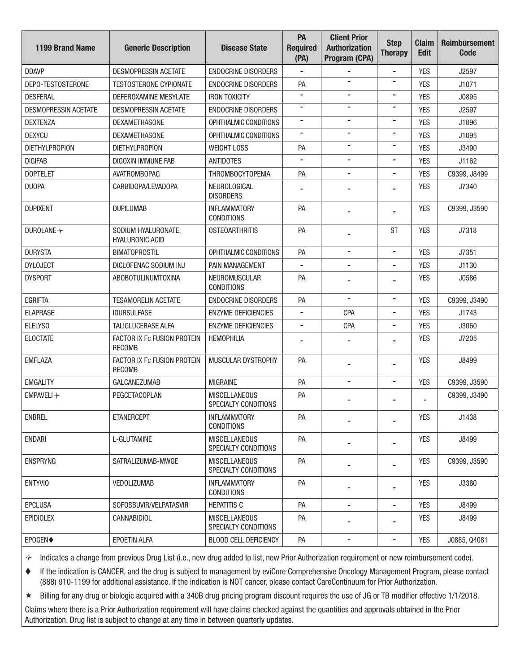| <b>1199 Brand Name</b>      | <b>Generic Description</b>                    | <b>Disease State</b>                         | PA<br><b>Required</b><br>(PA) | <b>Client Prior</b><br><b>Authorization</b><br>Program (CPA) | <b>Step</b><br><b>Therapy</b> | <b>Claim</b><br><b>Edit</b> | <b>Reimbursement</b><br><b>Code</b> |
|-----------------------------|-----------------------------------------------|----------------------------------------------|-------------------------------|--------------------------------------------------------------|-------------------------------|-----------------------------|-------------------------------------|
| <b>DDAVP</b>                | <b>DESMOPRESSIN ACETATE</b>                   | <b>ENDOCRINE DISORDERS</b>                   |                               |                                                              | $\overline{a}$                | <b>YES</b>                  | J2597                               |
| DEPO-TESTOSTERONE           | <b>TESTOSTERONE CYPIONATE</b>                 | <b>ENDOCRINE DISORDERS</b>                   | PA                            | $\overline{\phantom{a}}$                                     | -                             | <b>YES</b>                  | J1071                               |
| <b>DESFERAL</b>             | DEFEROXAMINE MESYLATE                         | <b>IRON TOXICITY</b>                         |                               |                                                              | -                             | <b>YES</b>                  | J0895                               |
| <b>DESMOPRESSIN ACETATE</b> | <b>DESMOPRESSIN ACETATE</b>                   | <b>ENDOCRINE DISORDERS</b>                   | $\blacksquare$                | $\blacksquare$                                               | -                             | <b>YES</b>                  | J2597                               |
| <b>DEXTENZA</b>             | <b>DEXAMETHASONE</b>                          | OPHTHALMIC CONDITIONS                        |                               | $\blacksquare$                                               | -                             | <b>YES</b>                  | J1096                               |
| <b>DEXYCU</b>               | <b>DEXAMETHASONE</b>                          | OPHTHALMIC CONDITIONS                        | $\overline{\phantom{0}}$      | $\blacksquare$                                               | -                             | <b>YES</b>                  | J1095                               |
| <b>DIETHYLPROPION</b>       | <b>DIETHYLPROPION</b>                         | <b>WEIGHT LOSS</b>                           | PA                            |                                                              | -                             | <b>YES</b>                  | J3490                               |
| <b>DIGIFAB</b>              | DIGOXIN IMMUNE FAB                            | <b>ANTIDOTES</b>                             |                               | $\blacksquare$                                               | -                             | <b>YES</b>                  | J1162                               |
| <b>DOPTELET</b>             | <b>AVATROMBOPAG</b>                           | <b>THROMBOCYTOPENIA</b>                      | PA                            | $\blacksquare$                                               | $\overline{a}$                | <b>YES</b>                  | C9399, J8499                        |
| <b>DUOPA</b>                | CARBIDOPA/LEVADOPA                            | NEUROLOGICAL<br><b>DISORDERS</b>             |                               |                                                              |                               | <b>YES</b>                  | J7340                               |
| <b>DUPIXENT</b>             | <b>DUPILUMAB</b>                              | <b>INFLAMMATORY</b><br><b>CONDITIONS</b>     | PA                            |                                                              |                               | <b>YES</b>                  | C9399, J3590                        |
| DUROLANE+                   | SODIUM HYALURONATE,<br><b>HYALURONIC ACID</b> | <b>OSTEOARTHRITIS</b>                        | PA                            |                                                              | <b>ST</b>                     | <b>YES</b>                  | J7318                               |
| <b>DURYSTA</b>              | <b>BIMATOPROSTIL</b>                          | OPHTHALMIC CONDITIONS                        | PA                            | $\overline{\phantom{a}}$                                     | $\overline{\phantom{a}}$      | <b>YES</b>                  | J7351                               |
| <b>DYLOJECT</b>             | DICLOFENAC SODIUM INJ                         | PAIN MANAGEMENT                              |                               |                                                              | -                             | <b>YES</b>                  | J1130                               |
| <b>DYSPORT</b>              | <b>ABOBOTULINUMTOXINA</b>                     | NEUROMUSCULAR<br><b>CONDITIONS</b>           | PA                            |                                                              |                               | <b>YES</b>                  | J0586                               |
| <b>EGRIFTA</b>              | <b>TESAMORELIN ACETATE</b>                    | <b>ENDOCRINE DISORDERS</b>                   | PA                            |                                                              | $\overline{\phantom{a}}$      | <b>YES</b>                  | C9399, J3490                        |
| <b>ELAPRASE</b>             | <b>IDURSULFASE</b>                            | <b>ENZYME DEFICIENCIES</b>                   | $\overline{\phantom{a}}$      | CPA                                                          | $\overline{\phantom{a}}$      | <b>YES</b>                  | J1743                               |
| ELELYSO                     | <b>TALIGLUCERASE ALFA</b>                     | <b>ENZYME DEFICIENCIES</b>                   |                               | <b>CPA</b>                                                   | -                             | <b>YES</b>                  | J3060                               |
| <b>ELOCTATE</b>             | FACTOR IX Fc FUSION PROTEIN<br><b>RECOMB</b>  | <b>HEMOPHILIA</b>                            |                               |                                                              |                               | <b>YES</b>                  | J7205                               |
| <b>EMFLAZA</b>              | FACTOR IX Fc FUSION PROTEIN<br><b>RECOMB</b>  | MUSCULAR DYSTROPHY                           | PA                            |                                                              | $\overline{a}$                | <b>YES</b>                  | J8499                               |
| <b>EMGALITY</b>             | <b>GALCANEZUMAB</b>                           | <b>MIGRAINE</b>                              | PA                            | $\blacksquare$                                               | $\blacksquare$                | <b>YES</b>                  | C9399, J3590                        |
| EMPAVELI +                  | PEGCETACOPLAN                                 | <b>MISCELLANEOUS</b><br>SPECIALTY CONDITIONS | PA                            |                                                              |                               |                             | C9399, J3490                        |
| <b>ENBREL</b>               | <b>ETANERCEPT</b>                             | <b>INFLAMMATORY</b><br><b>CONDITIONS</b>     | PA                            |                                                              | -                             | <b>YES</b>                  | J1438                               |
| <b>ENDARI</b>               | L-GLUTAMINE                                   | <b>MISCELLANEOUS</b><br>SPECIALTY CONDITIONS | PA                            |                                                              |                               | <b>YES</b>                  | J8499                               |
| <b>ENSPRYNG</b>             | SATRALIZUMAB-MWGE                             | <b>MISCELLANEOUS</b><br>SPECIALTY CONDITIONS | PA                            | -                                                            | $\overline{\phantom{a}}$      | <b>YES</b>                  | C9399, J3590                        |
| <b>ENTYVIO</b>              | VEDOLIZUMAB                                   | <b>INFLAMMATORY</b><br><b>CONDITIONS</b>     | PA                            |                                                              | -                             | <b>YES</b>                  | J3380                               |
| <b>EPCLUSA</b>              | SOFOSBUVIR/VELPATASVIR                        | <b>HEPATITIS C</b>                           | PA                            | $\overline{\phantom{a}}$                                     | $\overline{\phantom{a}}$      | <b>YES</b>                  | J8499                               |
| <b>EPIDIOLEX</b>            | CANNABIDIOL                                   | <b>MISCELLANEOUS</b><br>SPECIALTY CONDITIONS | PA                            |                                                              | -                             | <b>YES</b>                  | J8499                               |
| EPOGEN◆                     | EPOETIN ALFA                                  | <b>BLOOD CELL DEFICIENCY</b>                 | PA                            | -                                                            | -                             | <b>YES</b>                  | J0885, Q4081                        |

 If the indication is CANCER, and the drug is subject to management by eviCore Comprehensive Oncology Management Program, please contact (888) 910-1199 for additional assistance. If the indication is NOT cancer, please contact CareContinuum for Prior Authorization.

Billing for any drug or biologic acquired with a 340B drug pricing program discount requires the use of JG or TB modifer effective 1/1/2018.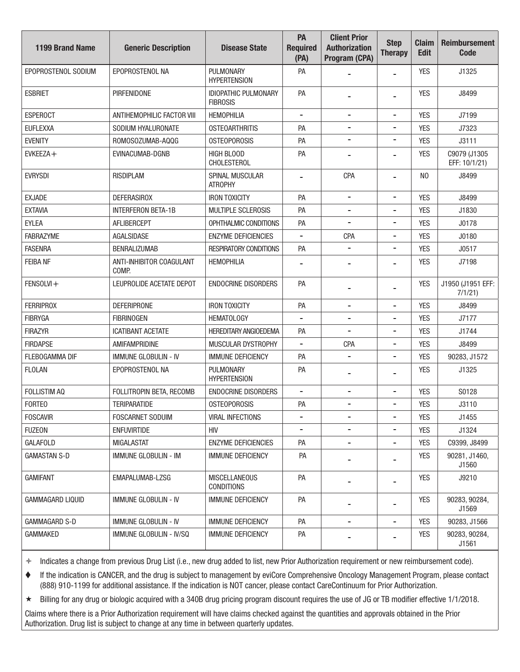| <b>1199 Brand Name</b>  | <b>Generic Description</b>        | <b>Disease State</b>                           | PA<br><b>Required</b><br>(PA) | <b>Client Prior</b><br><b>Authorization</b><br>Program (CPA) | <b>Step</b><br><b>Therapy</b> | <b>Claim</b><br><b>Edit</b> | <b>Reimbursement</b><br><b>Code</b> |
|-------------------------|-----------------------------------|------------------------------------------------|-------------------------------|--------------------------------------------------------------|-------------------------------|-----------------------------|-------------------------------------|
| EPOPROSTENOL SODIUM     | EPOPROSTENOL NA                   | PULMONARY<br><b>HYPERTENSION</b>               | PA                            |                                                              | $\overline{\phantom{a}}$      | <b>YES</b>                  | J1325                               |
| <b>ESBRIET</b>          | <b>PIRFENIDONE</b>                | <b>IDIOPATHIC PULMONARY</b><br><b>FIBROSIS</b> | PA                            |                                                              |                               | <b>YES</b>                  | J8499                               |
| <b>ESPEROCT</b>         | <b>ANTIHEMOPHILIC FACTOR VIII</b> | <b>HEMOPHILIA</b>                              | $\overline{\phantom{a}}$      | $\overline{\phantom{a}}$                                     | $\overline{\phantom{a}}$      | <b>YES</b>                  | J7199                               |
| <b>EUFLEXXA</b>         | SODIUM HYALURONATE                | <b>OSTEOARTHRITIS</b>                          | PA                            |                                                              | -                             | <b>YES</b>                  | J7323                               |
| <b>EVENITY</b>          | ROMOSOZUMAB-AQQG                  | <b>OSTEOPOROSIS</b>                            | PA                            | $\overline{\phantom{a}}$                                     | $\overline{\phantom{a}}$      | <b>YES</b>                  | J3111                               |
| $EVKEEZA+$              | EVINACUMAB-DGNB                   | <b>HIGH BLOOD</b><br><b>CHOLESTEROL</b>        | PA                            | $\blacksquare$                                               | -                             | <b>YES</b>                  | C9079 (J1305<br>EFF: 10/1/21)       |
| <b>EVRYSDI</b>          | <b>RISDIPLAM</b>                  | <b>SPINAL MUSCULAR</b><br><b>ATROPHY</b>       | $\overline{\phantom{0}}$      | <b>CPA</b>                                                   | $\overline{\phantom{a}}$      | N <sub>0</sub>              | J8499                               |
| <b>EXJADE</b>           | <b>DEFERASIROX</b>                | <b>IRON TOXICITY</b>                           | PA                            | $\blacksquare$                                               | $\overline{\phantom{a}}$      | <b>YES</b>                  | J8499                               |
| <b>EXTAVIA</b>          | <b>INTERFERON BETA-1B</b>         | MULTIPLE SCLEROSIS                             | PA                            | $\blacksquare$                                               | -                             | <b>YES</b>                  | J1830                               |
| <b>EYLEA</b>            | AFLIBERCEPT                       | OPHTHALMIC CONDITIONS                          | PA                            | $\overline{\phantom{a}}$                                     | $\overline{\phantom{a}}$      | <b>YES</b>                  | J0178                               |
| <b>FABRAZYME</b>        | AGALSIDASE                        | <b>ENZYME DEFICIENCIES</b>                     | -                             | CPA                                                          | $\overline{\phantom{a}}$      | <b>YES</b>                  | J0180                               |
| <b>FASENRA</b>          | <b>BENRALIZUMAB</b>               | <b>RESPIRATORY CONDITIONS</b>                  | PA                            | $\overline{\phantom{a}}$                                     | $\qquad \qquad \blacksquare$  | <b>YES</b>                  | J0517                               |
| <b>FEIBA NF</b>         | ANTI-INHIBITOR COAGULANT<br>COMP. | <b>HEMOPHILIA</b>                              |                               |                                                              | $\overline{\phantom{a}}$      | <b>YES</b>                  | J7198                               |
| FENSOLVI +              | LEUPROLIDE ACETATE DEPOT          | <b>ENDOCRINE DISORDERS</b>                     | PA                            | $\blacksquare$                                               | -                             | <b>YES</b>                  | J1950 (J1951 EFF:<br>7/1/21         |
| <b>FERRIPROX</b>        | <b>DEFERIPRONE</b>                | <b>IRON TOXICITY</b>                           | PA                            | $\blacksquare$                                               | $\qquad \qquad \blacksquare$  | <b>YES</b>                  | J8499                               |
| <b>FIBRYGA</b>          | <b>FIBRINOGEN</b>                 | <b>HEMATOLOGY</b>                              |                               | $\overline{\phantom{a}}$                                     | $\overline{\phantom{a}}$      | <b>YES</b>                  | J7177                               |
| <b>FIRAZYR</b>          | <b>ICATIBANT ACETATE</b>          | <b>HEREDITARY ANGIOEDEMA</b>                   | PA                            |                                                              | $\blacksquare$                | <b>YES</b>                  | J1744                               |
| <b>FIRDAPSE</b>         | AMIFAMPRIDINE                     | MUSCULAR DYSTROPHY                             | $\overline{\phantom{a}}$      | <b>CPA</b>                                                   | $\overline{\phantom{a}}$      | <b>YES</b>                  | J8499                               |
| <b>FLEBOGAMMA DIF</b>   | <b>IMMUNE GLOBULIN - IV</b>       | <b>IMMUNE DEFICIENCY</b>                       | PA                            |                                                              | $\blacksquare$                | <b>YES</b>                  | 90283, J1572                        |
| <b>FLOLAN</b>           | EPOPROSTENOL NA                   | PULMONARY<br><b>HYPERTENSION</b>               | PA                            |                                                              | -                             | <b>YES</b>                  | J1325                               |
| <b>FOLLISTIM AQ</b>     | FOLLITROPIN BETA, RECOMB          | <b>ENDOCRINE DISORDERS</b>                     | -                             | $\overline{\phantom{a}}$                                     | $\overline{\phantom{a}}$      | <b>YES</b>                  | S0128                               |
| <b>FORTEO</b>           | <b>TERIPARATIDE</b>               | <b>OSTEOPOROSIS</b>                            | PA                            | $\blacksquare$                                               | $\overline{a}$                | <b>YES</b>                  | J3110                               |
| <b>FOSCAVIR</b>         | <b>FOSCARNET SODUIM</b>           | <b>VIRAL INFECTIONS</b>                        |                               | $\overline{\phantom{a}}$                                     | $\overline{\phantom{a}}$      | <b>YES</b>                  | J1455                               |
| <b>FUZEON</b>           | <b>ENFUVIRTIDE</b>                | <b>HIV</b>                                     |                               | $\overline{\phantom{a}}$                                     | $\overline{\phantom{a}}$      | <b>YES</b>                  | J1324                               |
| <b>GALAFOLD</b>         | <b>MIGALASTAT</b>                 | <b>ENZYME DEFICIENCIES</b>                     | PA                            |                                                              |                               | <b>YES</b>                  | C9399, J8499                        |
| <b>GAMASTAN S-D</b>     | <b>IMMUNE GLOBULIN - IM</b>       | <b>IMMUNE DEFICIENCY</b>                       | PA                            |                                                              |                               | <b>YES</b>                  | 90281, J1460,<br>J1560              |
| <b>GAMIFANT</b>         | EMAPALUMAB-LZSG                   | <b>MISCELLANEOUS</b><br><b>CONDITIONS</b>      | PA                            |                                                              |                               | <b>YES</b>                  | J9210                               |
| <b>GAMMAGARD LIQUID</b> | <b>IMMUNE GLOBULIN - IV</b>       | <b>IMMUNE DEFICIENCY</b>                       | PA                            |                                                              |                               | <b>YES</b>                  | 90283, 90284,<br>J1569              |
| GAMMAGARD S-D           | <b>IMMUNE GLOBULIN - IV</b>       | <b>IMMUNE DEFICIENCY</b>                       | PA                            | $\blacksquare$                                               | $\qquad \qquad \blacksquare$  | <b>YES</b>                  | 90283, J1566                        |
| GAMMAKED                | IMMUNE GLOBULIN - IV/SQ           | <b>IMMUNE DEFICIENCY</b>                       | PA                            |                                                              | ۰                             | <b>YES</b>                  | 90283, 90284,<br>J1561              |

 If the indication is CANCER, and the drug is subject to management by eviCore Comprehensive Oncology Management Program, please contact (888) 910-1199 for additional assistance. If the indication is NOT cancer, please contact CareContinuum for Prior Authorization.

Billing for any drug or biologic acquired with a 340B drug pricing program discount requires the use of JG or TB modifer effective 1/1/2018.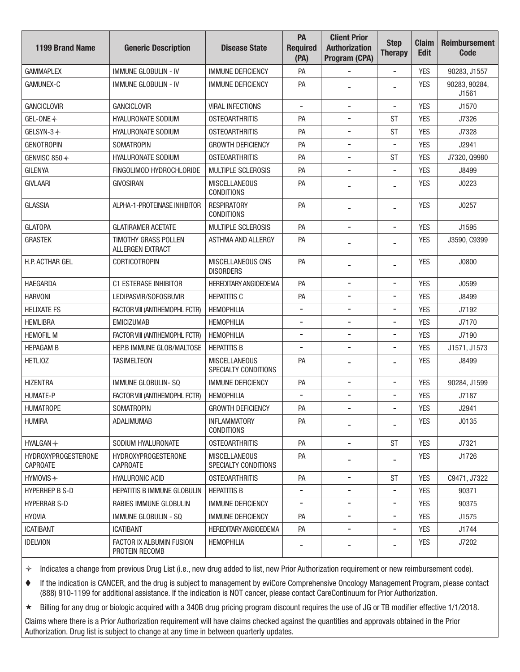| <b>1199 Brand Name</b>                 | <b>Generic Description</b>                      | <b>Disease State</b>                         | PA<br><b>Required</b><br>(PA) | <b>Client Prior</b><br><b>Authorization</b><br>Program (CPA) | <b>Step</b><br><b>Therapy</b> | <b>Claim</b><br><b>Edit</b> | <b>Reimbursement</b><br><b>Code</b> |
|----------------------------------------|-------------------------------------------------|----------------------------------------------|-------------------------------|--------------------------------------------------------------|-------------------------------|-----------------------------|-------------------------------------|
| <b>GAMMAPLEX</b>                       | <b>IMMUNE GLOBULIN - IV</b>                     | <b>IMMUNE DEFICIENCY</b>                     | PA                            |                                                              | $\overline{\phantom{a}}$      | <b>YES</b>                  | 90283, J1557                        |
| <b>GAMUNEX-C</b>                       | <b>IMMUNE GLOBULIN - IV</b>                     | <b>IMMUNE DEFICIENCY</b>                     | PA                            |                                                              |                               | <b>YES</b>                  | 90283, 90284,<br>J1561              |
| <b>GANCICLOVIR</b>                     | <b>GANCICLOVIR</b>                              | <b>VIRAL INFECTIONS</b>                      |                               |                                                              | -                             | <b>YES</b>                  | J1570                               |
| GEL-ONE $+$                            | <b>HYALURONATE SODIUM</b>                       | <b>OSTEOARTHRITIS</b>                        | PA                            | $\blacksquare$                                               | <b>ST</b>                     | <b>YES</b>                  | J7326                               |
| GELSYN-3+                              | <b>HYALURONATE SODIUM</b>                       | <b>OSTEOARTHRITIS</b>                        | PA                            |                                                              | <b>ST</b>                     | <b>YES</b>                  | J7328                               |
| <b>GENOTROPIN</b>                      | <b>SOMATROPIN</b>                               | <b>GROWTH DEFICIENCY</b>                     | PA                            | $\qquad \qquad \blacksquare$                                 | $\qquad \qquad \blacksquare$  | <b>YES</b>                  | J2941                               |
| GENVISC 850+                           | <b>HYALURONATE SODIUM</b>                       | <b>OSTEOARTHRITIS</b>                        | PA                            |                                                              | <b>ST</b>                     | <b>YES</b>                  | J7320, Q9980                        |
| <b>GILENYA</b>                         | FINGOLIMOD HYDROCHLORIDE                        | MULTIPLE SCLEROSIS                           | PA                            | $\overline{\phantom{a}}$                                     | $\overline{\phantom{a}}$      | <b>YES</b>                  | J8499                               |
| <b>GIVLAARI</b>                        | <b>GIVOSIRAN</b>                                | <b>MISCELLANEOUS</b><br><b>CONDITIONS</b>    | PA                            |                                                              | -                             | <b>YES</b>                  | J0223                               |
| <b>GLASSIA</b>                         | ALPHA-1-PROTEINASE INHIBITOR                    | <b>RESPIRATORY</b><br><b>CONDITIONS</b>      | PA                            |                                                              | $\overline{\phantom{0}}$      | <b>YES</b>                  | J0257                               |
| <b>GLATOPA</b>                         | <b>GLATIRAMER ACETATE</b>                       | <b>MULTIPLE SCLEROSIS</b>                    | PA                            | $\overline{\phantom{a}}$                                     | $\overline{\phantom{a}}$      | <b>YES</b>                  | J1595                               |
| <b>GRASTEK</b>                         | <b>TIMOTHY GRASS POLLEN</b><br>ALLERGEN EXTRACT | <b>ASTHMA AND ALLERGY</b>                    | PA                            |                                                              | -                             | <b>YES</b>                  | J3590, C9399                        |
| H.P. ACTHAR GEL                        | <b>CORTICOTROPIN</b>                            | <b>MISCELLANEOUS CNS</b><br><b>DISORDERS</b> | PA                            |                                                              |                               | <b>YES</b>                  | J0800                               |
| <b>HAEGARDA</b>                        | C1 ESTERASE INHIBITOR                           | <b>HEREDITARY ANGIOEDEMA</b>                 | PA                            | $\overline{\phantom{a}}$                                     | $\qquad \qquad \blacksquare$  | <b>YES</b>                  | J0599                               |
| <b>HARVONI</b>                         | LEDIPASVIR/SOFOSBUVIR                           | <b>HEPATITIS C</b>                           | PA                            | $\overline{\phantom{a}}$                                     | $\overline{\phantom{a}}$      | <b>YES</b>                  | J8499                               |
| <b>HELIXATE FS</b>                     | FACTOR VIII (ANTIHEMOPHL FCTR)                  | <b>HEMOPHILIA</b>                            | $\overline{\phantom{a}}$      | $\overline{\phantom{a}}$                                     | $\overline{\phantom{a}}$      | <b>YES</b>                  | J7192                               |
| <b>HEMLIBRA</b>                        | <b>EMICIZUMAB</b>                               | <b>HEMOPHILIA</b>                            |                               | $\overline{\phantom{a}}$                                     | $\overline{\phantom{a}}$      | <b>YES</b>                  | J7170                               |
| <b>HEMOFIL M</b>                       | FACTOR VIII (ANTIHEMOPHL FCTR)                  | <b>HEMOPHILIA</b>                            |                               |                                                              | $\overline{\phantom{a}}$      | <b>YES</b>                  | J7190                               |
| <b>HEPAGAM B</b>                       | HEP.B IMMUNE GLOB/MALTOSE                       | <b>HEPATITIS B</b>                           |                               | $\overline{\phantom{a}}$                                     | $\overline{\phantom{a}}$      | <b>YES</b>                  | J1571, J1573                        |
| <b>HETLIOZ</b>                         | <b>TASIMELTEON</b>                              | <b>MISCELLANEOUS</b><br>SPECIALTY CONDITIONS | PA                            | $\blacksquare$                                               | -                             | <b>YES</b>                  | J8499                               |
| <b>HIZENTRA</b>                        | IMMUNE GLOBULIN-SQ                              | <b>IMMUNE DEFICIENCY</b>                     | PA                            | $\overline{\phantom{a}}$                                     | $\overline{\phantom{a}}$      | <b>YES</b>                  | 90284, J1599                        |
| <b>HUMATE-P</b>                        | FACTOR VIII (ANTIHEMOPHL FCTR)                  | <b>HEMOPHILIA</b>                            | -                             | $\overline{\phantom{a}}$                                     | $\overline{\phantom{a}}$      | <b>YES</b>                  | J7187                               |
| <b>HUMATROPE</b>                       | <b>SOMATROPIN</b>                               | <b>GROWTH DEFICIENCY</b>                     | PA                            |                                                              |                               | <b>YES</b>                  | J2941                               |
| <b>HUMIRA</b>                          | ADALIMUMAB                                      | <b>INFLAMMATORY</b><br><b>CONDITIONS</b>     | PA                            |                                                              |                               | <b>YES</b>                  | J0135                               |
| $HYALGAN +$                            | SODIUM HYALURONATE                              | <b>OSTEOARTHRITIS</b>                        | PA                            | $\overline{\phantom{a}}$                                     | ST                            | <b>YES</b>                  | J7321                               |
| HYDROXYPROGESTERONE<br><b>CAPROATE</b> | HYDROXYPROGESTERONE<br><b>CAPROATE</b>          | <b>MISCELLANEOUS</b><br>SPECIALTY CONDITIONS | PA                            |                                                              |                               | <b>YES</b>                  | J1726                               |
| $HYMOVIS +$                            | <b>HYALURONIC ACID</b>                          | <b>OSTEOARTHRITIS</b>                        | PA                            | $\overline{\phantom{a}}$                                     | <b>ST</b>                     | <b>YES</b>                  | C9471, J7322                        |
| <b>HYPERHEP B S-D</b>                  | <b>HEPATITIS B IMMUNE GLOBULIN</b>              | <b>HEPATITIS B</b>                           | $\qquad \qquad \blacksquare$  | $\overline{\phantom{a}}$                                     | $\overline{\phantom{a}}$      | <b>YES</b>                  | 90371                               |
| <b>HYPERRAB S-D</b>                    | RABIES IMMUNE GLOBULIN                          | <b>IMMUNE DEFICIENCY</b>                     |                               |                                                              | -                             | <b>YES</b>                  | 90375                               |
| <b>HYQVIA</b>                          | <b>IMMUNE GLOBULIN - SQ</b>                     | <b>IMMUNE DEFICIENCY</b>                     | PA                            | $\overline{\phantom{a}}$                                     | $\qquad \qquad \blacksquare$  | <b>YES</b>                  | J1575                               |
| <b>ICATIBANT</b>                       | <b>ICATIBANT</b>                                | <b>HEREDITARY ANGIOEDEMA</b>                 | PA                            |                                                              | $\overline{\phantom{a}}$      | <b>YES</b>                  | J1744                               |
| <b>IDELVION</b>                        | FACTOR IX ALBUMIN FUSION<br>PROTEIN RECOMB      | <b>HEMOPHILIA</b>                            |                               |                                                              |                               | <b>YES</b>                  | J7202                               |

 If the indication is CANCER, and the drug is subject to management by eviCore Comprehensive Oncology Management Program, please contact (888) 910-1199 for additional assistance. If the indication is NOT cancer, please contact CareContinuum for Prior Authorization.

Billing for any drug or biologic acquired with a 340B drug pricing program discount requires the use of JG or TB modifer effective 1/1/2018.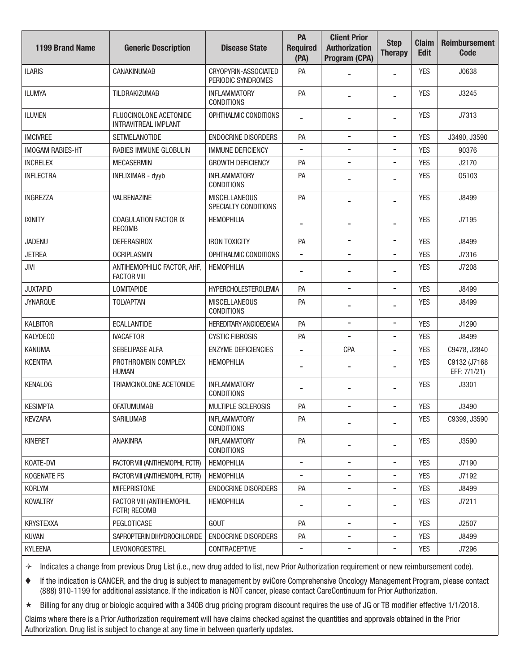| <b>1199 Brand Name</b>  | <b>Generic Description</b>                            | <b>Disease State</b>                         | PA<br><b>Required</b><br>(PA) | <b>Client Prior</b><br><b>Authorization</b><br>Program (CPA) | <b>Step</b><br><b>Therapy</b> | <b>Claim</b><br><b>Edit</b> | <b>Reimbursement</b><br><b>Code</b> |
|-------------------------|-------------------------------------------------------|----------------------------------------------|-------------------------------|--------------------------------------------------------------|-------------------------------|-----------------------------|-------------------------------------|
| <b>ILARIS</b>           | CANAKINUMAB                                           | CRYOPYRIN-ASSOCIATED<br>PERIODIC SYNDROMES   | PA                            |                                                              | $\overline{\phantom{a}}$      | <b>YES</b>                  | J0638                               |
| <b>ILUMYA</b>           | <b>TILDRAKIZUMAB</b>                                  | <b>INFLAMMATORY</b><br><b>CONDITIONS</b>     | PA                            |                                                              | $\blacksquare$                | <b>YES</b>                  | J3245                               |
| <b>ILUVIEN</b>          | FLUOCINOLONE ACETONIDE<br><b>INTRAVITREAL IMPLANT</b> | OPHTHALMIC CONDITIONS                        |                               |                                                              |                               | <b>YES</b>                  | J7313                               |
| <b>IMCIVREE</b>         | <b>SETMELANOTIDE</b>                                  | <b>ENDOCRINE DISORDERS</b>                   | PA                            |                                                              | -                             | <b>YES</b>                  | J3490, J3590                        |
| <b>IMOGAM RABIES-HT</b> | RABIES IMMUNE GLOBULIN                                | <b>IMMUNE DEFICIENCY</b>                     | $\blacksquare$                | $\overline{\phantom{a}}$                                     | $\overline{\phantom{a}}$      | <b>YES</b>                  | 90376                               |
| <b>INCRELEX</b>         | <b>MECASERMIN</b>                                     | <b>GROWTH DEFICIENCY</b>                     | PA                            |                                                              | $\overline{a}$                | <b>YES</b>                  | J2170                               |
| <b>INFLECTRA</b>        | INFLIXIMAB - dyyb                                     | <b>INFLAMMATORY</b><br><b>CONDITIONS</b>     | PA                            |                                                              |                               | <b>YES</b>                  | Q5103                               |
| <b>INGREZZA</b>         | VALBENAZINE                                           | <b>MISCELLANEOUS</b><br>SPECIALTY CONDITIONS | PA                            |                                                              | $\overline{a}$                | <b>YES</b>                  | J8499                               |
| <b>IXINITY</b>          | COAGULATION FACTOR IX<br><b>RECOMB</b>                | <b>HEMOPHILIA</b>                            |                               |                                                              | -                             | <b>YES</b>                  | J7195                               |
| <b>JADENU</b>           | <b>DEFERASIROX</b>                                    | <b>IRON TOXICITY</b>                         | PA                            | $\overline{\phantom{a}}$                                     | $\overline{\phantom{a}}$      | <b>YES</b>                  | J8499                               |
| <b>JETREA</b>           | <b>OCRIPLASMIN</b>                                    | OPHTHALMIC CONDITIONS                        |                               |                                                              | $\overline{a}$                | <b>YES</b>                  | J7316                               |
| JIVI                    | ANTIHEMOPHILIC FACTOR, AHF,<br><b>FACTOR VIII</b>     | <b>HEMOPHILIA</b>                            |                               |                                                              |                               | <b>YES</b>                  | J7208                               |
| <b>JUXTAPID</b>         | <b>LOMITAPIDE</b>                                     | <b>HYPERCHOLESTEROLEMIA</b>                  | PA                            | $\overline{\phantom{0}}$                                     | $\overline{\phantom{a}}$      | <b>YES</b>                  | J8499                               |
| <b>JYNARQUE</b>         | <b>TOLVAPTAN</b>                                      | <b>MISCELLANEOUS</b><br><b>CONDITIONS</b>    | PA                            |                                                              |                               | <b>YES</b>                  | J8499                               |
| <b>KALBITOR</b>         | ECALLANTIDE                                           | <b>HEREDITARY ANGIOEDEMA</b>                 | PA                            | $\overline{a}$                                               | $\overline{\phantom{a}}$      | <b>YES</b>                  | J1290                               |
| <b>KALYDECO</b>         | <b>IVACAFTOR</b>                                      | <b>CYSTIC FIBROSIS</b>                       | PA                            |                                                              | -                             | <b>YES</b>                  | J8499                               |
| <b>KANUMA</b>           | SEBELIPASE ALFA                                       | <b>ENZYME DEFICIENCIES</b>                   | $\overline{\phantom{a}}$      | CPA                                                          | -                             | <b>YES</b>                  | C9478, J2840                        |
| <b>KCENTRA</b>          | PROTHROMBIN COMPLEX<br>HUMAN                          | <b>HEMOPHILIA</b>                            |                               |                                                              | -                             | <b>YES</b>                  | C9132 (J7168<br>EFF: 7/1/21)        |
| <b>KENALOG</b>          | TRIAMCINOLONE ACETONIDE                               | <b>INFLAMMATORY</b><br><b>CONDITIONS</b>     |                               |                                                              | -                             | <b>YES</b>                  | J3301                               |
| <b>KESIMPTA</b>         | <b>OFATUMUMAB</b>                                     | MULTIPLE SCLEROSIS                           | PA                            |                                                              | $\overline{a}$                | <b>YES</b>                  | J3490                               |
| <b>KEVZARA</b>          | SARILUMAB                                             | <b>INFLAMMATORY</b><br><b>CONDITIONS</b>     | PA                            |                                                              |                               | <b>YES</b>                  | C9399, J3590                        |
| <b>KINERET</b>          | <b>ANAKINRA</b>                                       | <b>INFLAMMATORY</b><br><b>CONDITIONS</b>     | PA                            |                                                              | $\overline{\phantom{a}}$      | <b>YES</b>                  | J3590                               |
| KOATE-DVI               | FACTOR VIII (ANTIHEMOPHL FCTR)                        | <b>HEMOPHILIA</b>                            | $\overline{\phantom{a}}$      | $\overline{\phantom{a}}$                                     | $\overline{\phantom{a}}$      | <b>YES</b>                  | J7190                               |
| <b>KOGENATE FS</b>      | FACTOR VIII (ANTIHEMOPHL FCTR)                        | <b>HEMOPHILIA</b>                            | $\overline{\phantom{a}}$      | $\overline{\phantom{a}}$                                     | $\blacksquare$                | <b>YES</b>                  | J7192                               |
| <b>KORLYM</b>           | <b>MIFEPRISTONE</b>                                   | <b>ENDOCRINE DISORDERS</b>                   | PA                            |                                                              | -                             | <b>YES</b>                  | J8499                               |
| <b>KOVALTRY</b>         | FACTOR VIII (ANTIHEMOPHL<br>FCTR) RECOMB              | <b>HEMOPHILIA</b>                            |                               |                                                              |                               | <b>YES</b>                  | J7211                               |
| <b>KRYSTEXXA</b>        | PEGLOTICASE                                           | <b>GOUT</b>                                  | PA                            | -                                                            | $\overline{\phantom{a}}$      | <b>YES</b>                  | J2507                               |
| <b>KUVAN</b>            | SAPROPTERIN DIHYDROCHLORIDE                           | <b>ENDOCRINE DISORDERS</b>                   | PA                            | $\overline{\phantom{a}}$                                     | $\overline{\phantom{a}}$      | <b>YES</b>                  | J8499                               |
| <b>KYLEENA</b>          | <b>LEVONORGESTREL</b>                                 | CONTRACEPTIVE                                | Ξ.                            |                                                              | -                             | <b>YES</b>                  | J7296                               |

 If the indication is CANCER, and the drug is subject to management by eviCore Comprehensive Oncology Management Program, please contact (888) 910-1199 for additional assistance. If the indication is NOT cancer, please contact CareContinuum for Prior Authorization.

Billing for any drug or biologic acquired with a 340B drug pricing program discount requires the use of JG or TB modifer effective 1/1/2018.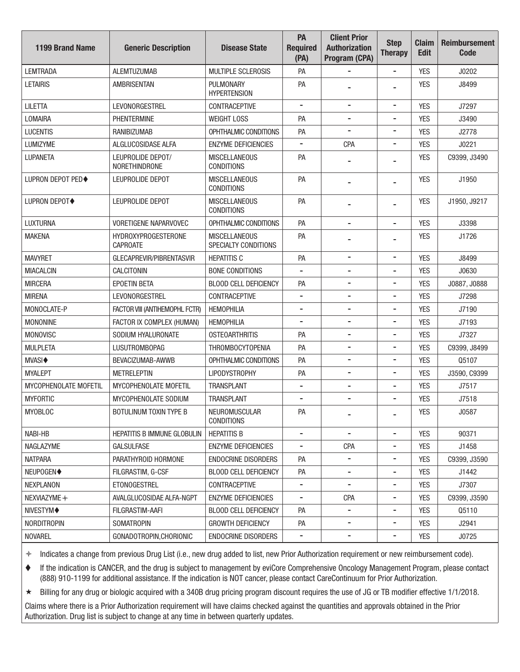| <b>1199 Brand Name</b>   | <b>Generic Description</b>                    | <b>Disease State</b>                         | PA<br><b>Required</b><br>(PA) | <b>Client Prior</b><br><b>Authorization</b><br>Program (CPA) | <b>Step</b><br><b>Therapy</b> | <b>Claim</b><br><b>Edit</b> | <b>Reimbursement</b><br><b>Code</b> |
|--------------------------|-----------------------------------------------|----------------------------------------------|-------------------------------|--------------------------------------------------------------|-------------------------------|-----------------------------|-------------------------------------|
| <b>LEMTRADA</b>          | <b>ALEMTUZUMAB</b>                            | MULTIPLE SCLEROSIS                           | PA                            |                                                              | $\qquad \qquad \blacksquare$  | <b>YES</b>                  | J0202                               |
| <b>I FTAIRIS</b>         | <b>AMBRISENTAN</b>                            | PULMONARY<br><b>HYPERTENSION</b>             | PA                            |                                                              |                               | <b>YES</b>                  | J8499                               |
| <b>LILETTA</b>           | <b>LEVONORGESTREL</b>                         | CONTRACEPTIVE                                |                               | -                                                            | $\overline{\phantom{a}}$      | <b>YES</b>                  | J7297                               |
| LOMAIRA                  | <b>PHENTERMINE</b>                            | <b>WEIGHT LOSS</b>                           | PA                            | $\blacksquare$                                               | -                             | <b>YES</b>                  | J3490                               |
| <b>LUCENTIS</b>          | RANIBIZUMAB                                   | OPHTHALMIC CONDITIONS                        | PA                            |                                                              | $\overline{\phantom{a}}$      | <b>YES</b>                  | J2778                               |
| LUMIZYME                 | ALGLUCOSIDASE ALFA                            | <b>ENZYME DEFICIENCIES</b>                   |                               | CPA                                                          | $\overline{\phantom{a}}$      | <b>YES</b>                  | J0221                               |
| LUPANETA                 | LEUPROLIDE DEPOT/<br>NORETHINDRONE            | <b>MISCELLANEOUS</b><br><b>CONDITIONS</b>    | PA                            |                                                              | $\overline{\phantom{0}}$      | <b>YES</b>                  | C9399, J3490                        |
| <b>LUPRON DEPOT PED◆</b> | LEUPROLIDE DEPOT                              | <b>MISCELLANEOUS</b><br><b>CONDITIONS</b>    | PA                            |                                                              | -                             | <b>YES</b>                  | J1950                               |
| <b>LUPRON DEPOT◆</b>     | LEUPROLIDE DEPOT                              | <b>MISCELLANEOUS</b><br><b>CONDITIONS</b>    | PA                            |                                                              |                               | <b>YES</b>                  | J1950, J9217                        |
| LUXTURNA                 | <b>VORETIGENE NAPARVOVEC</b>                  | OPHTHALMIC CONDITIONS                        | PA                            |                                                              | $\qquad \qquad \blacksquare$  | <b>YES</b>                  | J3398                               |
| <b>MAKENA</b>            | <b>HYDROXYPROGESTERONE</b><br><b>CAPROATE</b> | <b>MISCELLANEOUS</b><br>SPECIALTY CONDITIONS | PA                            |                                                              |                               | <b>YES</b>                  | J1726                               |
| <b>MAVYRET</b>           | GLECAPREVIR/PIBRENTASVIR                      | <b>HEPATITIS C</b>                           | PA                            | $\overline{\phantom{a}}$                                     | $\overline{\phantom{a}}$      | <b>YES</b>                  | J8499                               |
| <b>MIACALCIN</b>         | <b>CALCITONIN</b>                             | <b>BONE CONDITIONS</b>                       |                               |                                                              | $\overline{\phantom{0}}$      | <b>YES</b>                  | J0630                               |
| <b>MIRCERA</b>           | <b>EPOETIN BETA</b>                           | <b>BLOOD CELL DEFICIENCY</b>                 | PA                            | $\overline{\phantom{0}}$                                     | -                             | <b>YES</b>                  | J0887, J0888                        |
| <b>MIRENA</b>            | <b>LEVONORGESTREL</b>                         | CONTRACEPTIVE                                |                               |                                                              |                               | <b>YES</b>                  | J7298                               |
| MONOCLATE-P              | FACTOR VIII (ANTIHEMOPHL FCTR)                | <b>HEMOPHILIA</b>                            |                               | $\blacksquare$                                               | $\overline{\phantom{a}}$      | <b>YES</b>                  | J7190                               |
| <b>MONONINE</b>          | FACTOR IX COMPLEX (HUMAN)                     | <b>HEMOPHILIA</b>                            |                               | $\blacksquare$                                               | -                             | <b>YES</b>                  | J7193                               |
| MONOVISC                 | SODIUM HYALURONATE                            | <b>OSTEOARTHRITIS</b>                        | PA                            | $\blacksquare$                                               | $\overline{\phantom{a}}$      | <b>YES</b>                  | J7327                               |
| <b>MULPLETA</b>          | <b>LUSUTROMBOPAG</b>                          | <b>THROMBOCYTOPENIA</b>                      | PA                            | $\blacksquare$                                               | -                             | <b>YES</b>                  | C9399, J8499                        |
| <b>MVASI</b> ♦           | BEVACIZUMAB-AWWB                              | OPHTHALMIC CONDITIONS                        | PA                            | -                                                            | $\overline{\phantom{a}}$      | <b>YES</b>                  | Q5107                               |
| <b>MYALEPT</b>           | <b>METRELEPTIN</b>                            | <b>LIPODYSTROPHY</b>                         | PA                            | $\blacksquare$                                               | $\overline{\phantom{a}}$      | <b>YES</b>                  | J3590, C9399                        |
| MYCOPHENOLATE MOFETIL    | MYCOPHENOLATE MOFETIL                         | <b>TRANSPLANT</b>                            |                               |                                                              | -                             | <b>YES</b>                  | J7517                               |
| <b>MYFORTIC</b>          | MYCOPHENOLATE SODIUM                          | <b>TRANSPLANT</b>                            |                               |                                                              |                               | <b>YES</b>                  | J7518                               |
| <b>MYOBLOC</b>           | BOTULINUM TOXIN TYPE B                        | NEUROMUSCULAR<br><b>CONDITIONS</b>           | PA                            |                                                              | ۰                             | <b>YES</b>                  | J0587                               |
| NABI-HB                  | <b>HEPATITIS B IMMUNE GLOBULIN</b>            | <b>HEPATITIS B</b>                           |                               |                                                              |                               | <b>YES</b>                  | 90371                               |
| NAGLAZYME                | <b>GALSULFASE</b>                             | <b>ENZYME DEFICIENCIES</b>                   | $\blacksquare$                | <b>CPA</b>                                                   | -                             | <b>YES</b>                  | J1458                               |
| <b>NATPARA</b>           | PARATHYROID HORMONE                           | <b>ENDOCRINE DISORDERS</b>                   | PA                            |                                                              |                               | <b>YES</b>                  | C9399, J3590                        |
| NEUPOGEN◆                | FILGRASTIM, G-CSF                             | <b>BLOOD CELL DEFICIENCY</b>                 | PA                            |                                                              |                               | <b>YES</b>                  | J1442                               |
| NEXPLANON                | <b>ETONOGESTREL</b>                           | CONTRACEPTIVE                                |                               | $\overline{\phantom{0}}$                                     | -                             | <b>YES</b>                  | J7307                               |
| NEXVIAZYME +             | AVALGLUCOSIDAE ALFA-NGPT                      | <b>ENZYME DEFICIENCIES</b>                   | -                             | <b>CPA</b>                                                   | $\qquad \qquad \blacksquare$  | <b>YES</b>                  | C9399, J3590                        |
| NIVESTYM◆                | FILGRASTIM-AAFI                               | <b>BLOOD CELL DEFICIENCY</b>                 | PA                            | $\blacksquare$                                               | -                             | <b>YES</b>                  | Q5110                               |
| <b>NORDITROPIN</b>       | <b>SOMATROPIN</b>                             | <b>GROWTH DEFICIENCY</b>                     | PA                            | $\overline{\phantom{a}}$                                     | $\overline{\phantom{a}}$      | <b>YES</b>                  | J2941                               |
| <b>NOVAREL</b>           | GONADOTROPIN, CHORIONIC                       | <b>ENDOCRINE DISORDERS</b>                   | ٠                             | -                                                            | $\qquad \qquad \blacksquare$  | <b>YES</b>                  | J0725                               |

 If the indication is CANCER, and the drug is subject to management by eviCore Comprehensive Oncology Management Program, please contact (888) 910-1199 for additional assistance. If the indication is NOT cancer, please contact CareContinuum for Prior Authorization.

Billing for any drug or biologic acquired with a 340B drug pricing program discount requires the use of JG or TB modifer effective 1/1/2018.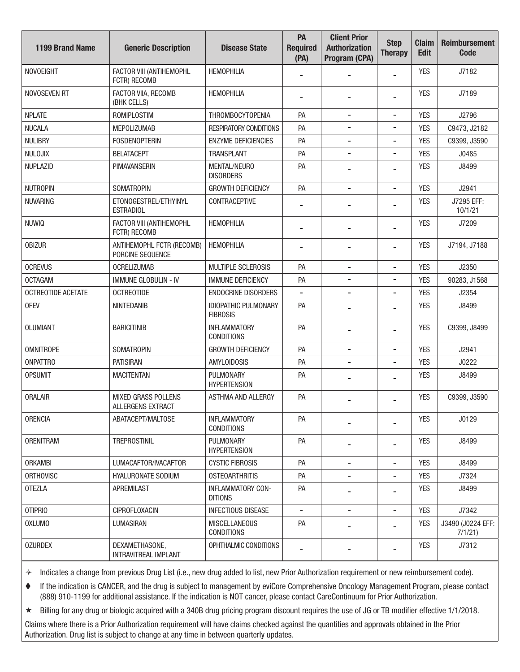| <b>1199 Brand Name</b> | <b>Generic Description</b>                      | <b>Disease State</b>                           | PA<br><b>Required</b><br>(PA) | <b>Client Prior</b><br><b>Authorization</b><br>Program (CPA) | <b>Step</b><br><b>Therapy</b> | <b>Claim</b><br><b>Edit</b> | <b>Reimbursement</b><br><b>Code</b> |
|------------------------|-------------------------------------------------|------------------------------------------------|-------------------------------|--------------------------------------------------------------|-------------------------------|-----------------------------|-------------------------------------|
| <b>NOVOEIGHT</b>       | FACTOR VIII (ANTIHEMOPHL<br>FCTR) RECOMB        | <b>HEMOPHILIA</b>                              |                               |                                                              | $\overline{\phantom{0}}$      | <b>YES</b>                  | J7182                               |
| NOVOSEVEN RT           | FACTOR VIIA, RECOMB<br>(BHK CELLS)              | <b>HEMOPHILIA</b>                              |                               |                                                              |                               | <b>YES</b>                  | J7189                               |
| <b>NPLATE</b>          | ROMIPLOSTIM                                     | THROMBOCYTOPENIA                               | PA                            | $\overline{\phantom{a}}$                                     | $\overline{\phantom{a}}$      | <b>YES</b>                  | J2796                               |
| <b>NUCALA</b>          | <b>MEPOLIZUMAB</b>                              | <b>RESPIRATORY CONDITIONS</b>                  | PA                            |                                                              |                               | <b>YES</b>                  | C9473, J2182                        |
| <b>NULIBRY</b>         | <b>FOSDENOPTERIN</b>                            | <b>ENZYME DEFICIENCIES</b>                     | PA                            | -                                                            | -                             | <b>YES</b>                  | C9399, J3590                        |
| NULOJIX                | <b>BELATACEPT</b>                               | <b>TRANSPLANT</b>                              | PA                            | $\overline{\phantom{0}}$                                     | -                             | <b>YES</b>                  | J0485                               |
| <b>NUPLAZID</b>        | <b>PIMAVANSERIN</b>                             | <b>MENTAL/NEURO</b><br><b>DISORDERS</b>        | PA                            |                                                              |                               | <b>YES</b>                  | J8499                               |
| <b>NUTROPIN</b>        | <b>SOMATROPIN</b>                               | <b>GROWTH DEFICIENCY</b>                       | PA                            |                                                              | $\overline{\phantom{0}}$      | <b>YES</b>                  | J2941                               |
| <b>NUVARING</b>        | ETONOGESTREL/ETHYINYL<br><b>ESTRADIOL</b>       | CONTRACEPTIVE                                  |                               |                                                              | $\overline{\phantom{0}}$      | <b>YES</b>                  | J7295 EFF:<br>10/1/21               |
| <b>NUWIQ</b>           | FACTOR VIII (ANTIHEMOPHL<br>FCTR) RECOMB        | <b>HEMOPHILIA</b>                              |                               |                                                              | $\overline{\phantom{0}}$      | <b>YES</b>                  | J7209                               |
| <b>OBIZUR</b>          | ANTIHEMOPHL FCTR (RECOMB)<br>PORCINE SEQUENCE   | <b>HEMOPHILIA</b>                              |                               | $\blacksquare$                                               | -                             | <b>YES</b>                  | J7194, J7188                        |
| <b>OCREVUS</b>         | <b>OCRELIZUMAB</b>                              | <b>MULTIPLE SCLEROSIS</b>                      | PA                            | $\overline{\phantom{a}}$                                     | $\qquad \qquad \blacksquare$  | <b>YES</b>                  | J2350                               |
| <b>OCTAGAM</b>         | <b>IMMUNE GLOBULIN - IV</b>                     | <b>IMMUNE DEFICIENCY</b>                       | PA                            |                                                              |                               | <b>YES</b>                  | 90283, J1568                        |
| OCTREOTIDE ACETATE     | <b>OCTREOTIDE</b>                               | <b>ENDOCRINE DISORDERS</b>                     | $\overline{\phantom{a}}$      | $\blacksquare$                                               | $\overline{\phantom{a}}$      | <b>YES</b>                  | J2354                               |
| <b>OFEV</b>            | NINTEDANIB                                      | <b>IDIOPATHIC PULMONARY</b><br><b>FIBROSIS</b> | PA                            |                                                              | $\overline{\phantom{0}}$      | <b>YES</b>                  | J8499                               |
| <b>OLUMIANT</b>        | <b>BARICITINIB</b>                              | <b>INFLAMMATORY</b><br><b>CONDITIONS</b>       | PA                            |                                                              | $\blacksquare$                | <b>YES</b>                  | C9399, J8499                        |
| <b>OMNITROPE</b>       | <b>SOMATROPIN</b>                               | <b>GROWTH DEFICIENCY</b>                       | PA                            | $\overline{\phantom{a}}$                                     | $\overline{\phantom{a}}$      | <b>YES</b>                  | J2941                               |
| <b>ONPATTRO</b>        | <b>PATISIRAN</b>                                | <b>AMYLOIDOSIS</b>                             | PA                            |                                                              | -                             | <b>YES</b>                  | J0222                               |
| <b>OPSUMIT</b>         | <b>MACITENTAN</b>                               | PULMONARY<br><b>HYPERTENSION</b>               | PA                            |                                                              |                               | <b>YES</b>                  | J8499                               |
| <b>ORALAIR</b>         | MIXED GRASS POLLENS<br><b>ALLERGENS EXTRACT</b> | <b>ASTHMA AND ALLERGY</b>                      | PA                            |                                                              | $\blacksquare$                | <b>YES</b>                  | C9399, J3590                        |
| <b>ORENCIA</b>         | ABATACEPT/MALTOSE                               | <b>INFLAMMATORY</b><br><b>CONDITIONS</b>       | PA                            |                                                              |                               | <b>YES</b>                  | J0129                               |
| <b>ORENITRAM</b>       | <b>TREPROSTINIL</b>                             | PULMONARY<br><b>HYPERTENSION</b>               | PA                            |                                                              |                               | <b>YES</b>                  | J8499                               |
| <b>ORKAMBI</b>         | LUMACAFTOR/IVACAFTOR                            | <b>CYSTIC FIBROSIS</b>                         | PA                            | -                                                            | $\overline{\phantom{a}}$      | <b>YES</b>                  | J8499                               |
| <b>ORTHOVISC</b>       | <b>HYALURONATE SODIUM</b>                       | <b>OSTEOARTHRITIS</b>                          | PA                            | $\overline{\phantom{a}}$                                     | $\qquad \qquad \blacksquare$  | <b>YES</b>                  | J7324                               |
| <b>OTEZLA</b>          | APREMILAST                                      | <b>INFLAMMATORY CON-</b><br><b>DITIONS</b>     | PA                            |                                                              | $\overline{\phantom{a}}$      | <b>YES</b>                  | J8499                               |
| <b>OTIPRIO</b>         | <b>CIPROFLOXACIN</b>                            | <b>INFECTIOUS DISEASE</b>                      | $\blacksquare$                | $\overline{\phantom{a}}$                                     | $\overline{\phantom{a}}$      | <b>YES</b>                  | J7342                               |
| <b>OXLUMO</b>          | LUMASIRAN                                       | <b>MISCELLANEOUS</b><br><b>CONDITIONS</b>      | PA                            |                                                              | $\overline{\phantom{a}}$      | <b>YES</b>                  | J3490 (J0224 EFF:<br>7/1/21         |
| <b>OZURDEX</b>         | DEXAMETHASONE,<br>INTRAVITREAL IMPLANT          | OPHTHALMIC CONDITIONS                          |                               |                                                              | $\overline{\phantom{a}}$      | <b>YES</b>                  | J7312                               |

 If the indication is CANCER, and the drug is subject to management by eviCore Comprehensive Oncology Management Program, please contact (888) 910-1199 for additional assistance. If the indication is NOT cancer, please contact CareContinuum for Prior Authorization.

Billing for any drug or biologic acquired with a 340B drug pricing program discount requires the use of JG or TB modifer effective 1/1/2018.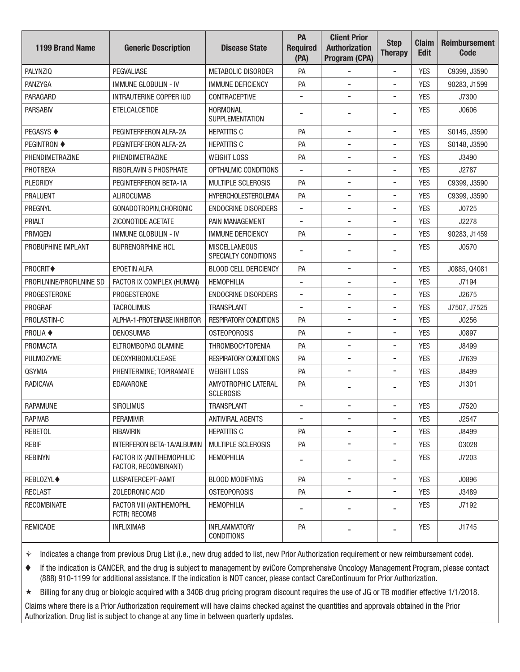| <b>1199 Brand Name</b>   | <b>Generic Description</b>                        | <b>Disease State</b>                         | PA<br><b>Required</b><br>(PA) | <b>Client Prior</b><br><b>Authorization</b><br>Program (CPA) | <b>Step</b><br><b>Therapy</b> | <b>Claim</b><br><b>Edit</b> | <b>Reimbursement</b><br><b>Code</b> |
|--------------------------|---------------------------------------------------|----------------------------------------------|-------------------------------|--------------------------------------------------------------|-------------------------------|-----------------------------|-------------------------------------|
| <b>PALYNZIQ</b>          | <b>PEGVALIASE</b>                                 | METABOLIC DISORDER                           | PA                            |                                                              | $\overline{a}$                | <b>YES</b>                  | C9399, J3590                        |
| PANZYGA                  | <b>IMMUNE GLOBULIN - IV</b>                       | <b>IMMUNE DEFICIENCY</b>                     | PA                            | $\overline{\phantom{a}}$                                     | $\overline{\phantom{a}}$      | <b>YES</b>                  | 90283, J1599                        |
| PARAGARD                 | <b>INTRAUTERINE COPPER IUD</b>                    | <b>CONTRACEPTIVE</b>                         |                               |                                                              | $\blacksquare$                | <b>YES</b>                  | J7300                               |
| <b>PARSABIV</b>          | ETELCALCETIDE                                     | HORMONAL<br><b>SUPPLEMENTATION</b>           |                               |                                                              |                               | <b>YES</b>                  | J0606                               |
| <b>PEGASYS ♦</b>         | PEGINTERFERON ALFA-2A                             | <b>HEPATITIS C</b>                           | PA                            | $\overline{\phantom{a}}$                                     | -                             | <b>YES</b>                  | S0145, J3590                        |
| <b>PEGINTRON ♦</b>       | PEGINTERFERON ALFA-2A                             | <b>HEPATITIS C</b>                           | PA                            | $\overline{\phantom{a}}$                                     | -                             | <b>YES</b>                  | S0148, J3590                        |
| PHENDIMETRAZINE          | PHENDIMETRAZINE                                   | <b>WEIGHT LOSS</b>                           | PA                            | -                                                            | -                             | <b>YES</b>                  | J3490                               |
| PHOTREXA                 | RIBOFLAVIN 5 PHOSPHATE                            | OPTHALMIC CONDITIONS                         | $\blacksquare$                | $\overline{\phantom{a}}$                                     | $\blacksquare$                | <b>YES</b>                  | J2787                               |
| PLEGRIDY                 | PEGINTERFERON BETA-1A                             | <b>MULTIPLE SCLEROSIS</b>                    | PA                            | -                                                            | -                             | <b>YES</b>                  | C9399, J3590                        |
| <b>PRALUENT</b>          | <b>ALIROCUMAB</b>                                 | <b>HYPERCHOLESTEROLEMIA</b>                  | PA                            | $\overline{\phantom{a}}$                                     | -                             | <b>YES</b>                  | C9399, J3590                        |
| PREGNYL                  | GONADOTROPIN, CHORIONIC                           | <b>ENDOCRINE DISORDERS</b>                   |                               |                                                              | $\overline{a}$                | <b>YES</b>                  | J0725                               |
| <b>PRIALT</b>            | ZICONOTIDE ACETATE                                | PAIN MANAGEMENT                              | $\overline{\phantom{a}}$      | $\overline{\phantom{a}}$                                     | $\blacksquare$                | <b>YES</b>                  | J2278                               |
| <b>PRIVIGEN</b>          | <b>IMMUNE GLOBULIN - IV</b>                       | <b>IMMUNE DEFICIENCY</b>                     | PA                            |                                                              | $\overline{a}$                | <b>YES</b>                  | 90283, J1459                        |
| PROBUPHINE IMPLANT       | <b>BUPRENORPHINE HCL</b>                          | <b>MISCELLANEOUS</b><br>SPECIALTY CONDITIONS |                               |                                                              |                               | <b>YES</b>                  | J0570                               |
| PROCRIT◆                 | EPOETIN ALFA                                      | BLOOD CELL DEFICIENCY                        | PA                            | $\blacksquare$                                               | $\overline{a}$                | <b>YES</b>                  | J0885, Q4081                        |
| PROFILNINE/PROFILNINE SD | FACTOR IX COMPLEX (HUMAN)                         | <b>HEMOPHILIA</b>                            |                               | $\overline{\phantom{a}}$                                     | $\blacksquare$                | <b>YES</b>                  | J7194                               |
| PROGESTERONE             | PROGESTERONE                                      | <b>ENDOCRINE DISORDERS</b>                   |                               |                                                              | -                             | <b>YES</b>                  | J2675                               |
| PROGRAF                  | <b>TACROLIMUS</b>                                 | <b>TRANSPLANT</b>                            | $\overline{\phantom{a}}$      | $\overline{\phantom{a}}$                                     | -                             | <b>YES</b>                  | J7507, J7525                        |
| PROLASTIN-C              | ALPHA-1-PROTEINASE INHIBITOR                      | <b>RESPIRATORY CONDITIONS</b>                | PA                            | -                                                            | $\overline{\phantom{a}}$      | <b>YES</b>                  | J0256                               |
| <b>PROLIA ♦</b>          | <b>DENOSUMAB</b>                                  | <b>OSTEOPOROSIS</b>                          | PA                            | $\overline{\phantom{a}}$                                     | -                             | <b>YES</b>                  | J0897                               |
| <b>PROMACTA</b>          | ELTROMBOPAG OLAMINE                               | <b>THROMBOCYTOPENIA</b>                      | PA                            |                                                              | -                             | <b>YES</b>                  | J8499                               |
| <b>PULMOZYME</b>         | <b>DEOXYRIBONUCLEASE</b>                          | <b>RESPIRATORY CONDITIONS</b>                | PA                            | $\overline{\phantom{a}}$                                     | -                             | <b>YES</b>                  | J7639                               |
| <b>QSYMIA</b>            | PHENTERMINE; TOPIRAMATE                           | <b>WEIGHT LOSS</b>                           | PA                            | -                                                            | -                             | <b>YES</b>                  | J8499                               |
| <b>RADICAVA</b>          | <b>EDAVARONE</b>                                  | AMYOTROPHIC LATERAL<br><b>SCLEROSIS</b>      | PA                            |                                                              | -                             | <b>YES</b>                  | J1301                               |
| <b>RAPAMUNE</b>          | <b>SIROLIMUS</b>                                  | <b>TRANSPLANT</b>                            | $\overline{\phantom{a}}$      | -                                                            | $\overline{\phantom{a}}$      | <b>YES</b>                  | J7520                               |
| <b>RAPIVAB</b>           | <b>PERAMIVIR</b>                                  | <b>ANTIVIRAL AGENTS</b>                      | $\blacksquare$                | $\blacksquare$                                               | -                             | <b>YES</b>                  | J2547                               |
| <b>REBETOL</b>           | RIBAVIRIN                                         | <b>HEPATITIS C</b>                           | PA                            |                                                              |                               | <b>YES</b>                  | J8499                               |
| <b>REBIF</b>             | INTERFERON BETA-1A/ALBUMIN                        | <b>MULTIPLE SCLEROSIS</b>                    | PA                            | $\overline{\phantom{a}}$                                     | -                             | <b>YES</b>                  | Q3028                               |
| <b>REBINYN</b>           | FACTOR IX (ANTIHEMOPHILIC<br>FACTOR, RECOMBINANT) | <b>HEMOPHILIA</b>                            | ۰                             | -                                                            | -                             | <b>YES</b>                  | J7203                               |
| <b>REBLOZYL◆</b>         | LUSPATERCEPT-AAMT                                 | <b>BLOOD MODIFYING</b>                       | PA                            | $\overline{\phantom{a}}$                                     | -                             | <b>YES</b>                  | J0896                               |
| <b>RECLAST</b>           | ZOLEDRONIC ACID                                   | <b>OSTEOPOROSIS</b>                          | PA                            | -                                                            | -                             | <b>YES</b>                  | J3489                               |
| <b>RECOMBINATE</b>       | FACTOR VIII (ANTIHEMOPHL<br>FCTR) RECOMB          | <b>HEMOPHILIA</b>                            |                               |                                                              |                               | <b>YES</b>                  | J7192                               |
| <b>REMICADE</b>          | <b>INFLIXIMAB</b>                                 | <b>INFLAMMATORY</b><br><b>CONDITIONS</b>     | PA                            |                                                              |                               | YES                         | J1745                               |

 If the indication is CANCER, and the drug is subject to management by eviCore Comprehensive Oncology Management Program, please contact (888) 910-1199 for additional assistance. If the indication is NOT cancer, please contact CareContinuum for Prior Authorization.

Billing for any drug or biologic acquired with a 340B drug pricing program discount requires the use of JG or TB modifer effective 1/1/2018.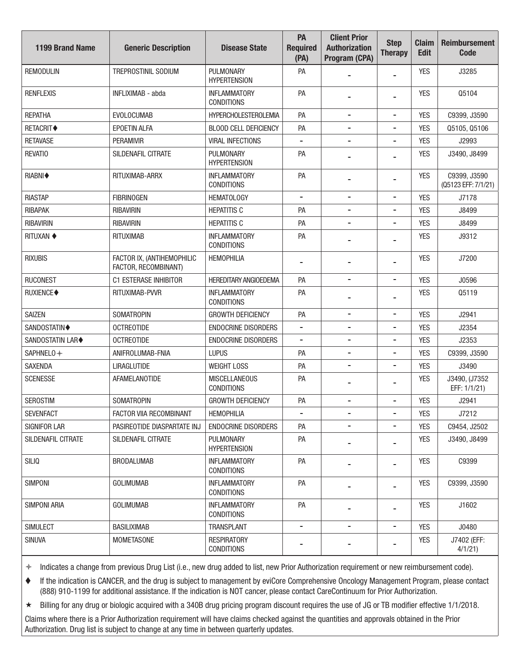| <b>1199 Brand Name</b>  | <b>Generic Description</b>                         | <b>Disease State</b>                      | PA<br><b>Required</b><br>(PA) | <b>Client Prior</b><br><b>Authorization</b><br>Program (CPA) | <b>Step</b><br><b>Therapy</b> | <b>Claim</b><br><b>Edit</b> | <b>Reimbursement</b><br><b>Code</b> |
|-------------------------|----------------------------------------------------|-------------------------------------------|-------------------------------|--------------------------------------------------------------|-------------------------------|-----------------------------|-------------------------------------|
| <b>REMODULIN</b>        | TREPROSTINIL SODIUM                                | PULMONARY<br><b>HYPERTENSION</b>          | PA                            |                                                              |                               | <b>YES</b>                  | J3285                               |
| <b>RENFLEXIS</b>        | INFLIXIMAB - abda                                  | <b>INFLAMMATORY</b><br><b>CONDITIONS</b>  | PA                            |                                                              |                               | <b>YES</b>                  | Q5104                               |
| <b>REPATHA</b>          | <b>EVOLOCUMAB</b>                                  | <b>HYPERCHOLESTEROLEMIA</b>               | PA                            | $\overline{\phantom{a}}$                                     | -                             | <b>YES</b>                  | C9399, J3590                        |
| <b>RETACRIT◆</b>        | <b>EPOETIN ALFA</b>                                | <b>BLOOD CELL DEFICIENCY</b>              | PA                            |                                                              | $\overline{a}$                | <b>YES</b>                  | Q5105, Q5106                        |
| <b>RETAVASE</b>         | <b>PERAMIVIR</b>                                   | <b>VIRAL INFECTIONS</b>                   |                               | $\overline{a}$                                               | $\blacksquare$                | <b>YES</b>                  | J2993                               |
| <b>REVATIO</b>          | <b>SILDENAFIL CITRATE</b>                          | PULMONARY<br><b>HYPERTENSION</b>          | PA                            |                                                              |                               | <b>YES</b>                  | J3490, J8499                        |
| RIABNI◆                 | RITUXIMAB-ARRX                                     | <b>INFLAMMATORY</b><br><b>CONDITIONS</b>  | PA                            | -                                                            |                               | <b>YES</b>                  | C9399, J3590<br>(Q5123 EFF: 7/1/21) |
| <b>RIASTAP</b>          | <b>FIBRINOGEN</b>                                  | <b>HEMATOLOGY</b>                         | $\overline{\phantom{a}}$      | $\overline{\phantom{a}}$                                     | $\qquad \qquad \blacksquare$  | <b>YES</b>                  | J7178                               |
| <b>RIBAPAK</b>          | <b>RIBAVIRIN</b>                                   | <b>HEPATITIS C</b>                        | PA                            | $\overline{\phantom{a}}$                                     | -                             | <b>YES</b>                  | J8499                               |
| <b>RIBAVIRIN</b>        | <b>RIBAVIRIN</b>                                   | <b>HEPATITIS C</b>                        | PA                            | -                                                            | $\blacksquare$                | <b>YES</b>                  | J8499                               |
| <b>RITUXAN ♦</b>        | <b>RITUXIMAB</b>                                   | <b>INFLAMMATORY</b><br><b>CONDITIONS</b>  | PA                            |                                                              |                               | <b>YES</b>                  | J9312                               |
| <b>RIXUBIS</b>          | FACTOR IX, (ANTIHEMOPHILIC<br>FACTOR, RECOMBINANT) | <b>HEMOPHILIA</b>                         | $\blacksquare$                | -                                                            | $\overline{a}$                | <b>YES</b>                  | J7200                               |
| <b>RUCONEST</b>         | C1 ESTERASE INHIBITOR                              | <b>HEREDITARY ANGIOEDEMA</b>              | PA                            |                                                              | $\blacksquare$                | <b>YES</b>                  | J0596                               |
| RUXIENCE◆               | RITUXIMAB-PVVR                                     | <b>INFLAMMATORY</b><br><b>CONDITIONS</b>  | PA                            |                                                              | $\overline{\phantom{0}}$      | <b>YES</b>                  | Q5119                               |
| <b>SAIZEN</b>           | <b>SOMATROPIN</b>                                  | <b>GROWTH DEFICIENCY</b>                  | PA                            | $\overline{\phantom{a}}$                                     | $\qquad \qquad \blacksquare$  | <b>YES</b>                  | J2941                               |
| <b>SANDOSTATIN♦</b>     | <b>OCTREOTIDE</b>                                  | <b>ENDOCRINE DISORDERS</b>                | $\overline{\phantom{a}}$      | $\overline{\phantom{a}}$                                     | -                             | <b>YES</b>                  | J2354                               |
| <b>SANDOSTATIN LAR◆</b> | <b>OCTREOTIDE</b>                                  | <b>ENDOCRINE DISORDERS</b>                |                               | $\overline{a}$                                               | -                             | <b>YES</b>                  | J2353                               |
| SAPHNELO +              | ANIFROLUMAB-FNIA                                   | <b>LUPUS</b>                              | PA                            | $\overline{\phantom{a}}$                                     | $\overline{a}$                | <b>YES</b>                  | C9399, J3590                        |
| <b>SAXENDA</b>          | <b>LIRAGLUTIDE</b>                                 | <b>WEIGHT LOSS</b>                        | PA                            |                                                              | $\blacksquare$                | <b>YES</b>                  | J3490                               |
| <b>SCENESSE</b>         | <b>AFAMELANOTIDE</b>                               | <b>MISCELLANEOUS</b><br><b>CONDITIONS</b> | PA                            |                                                              |                               | <b>YES</b>                  | J3490, (J7352<br>EFF: 1/1/21)       |
| <b>SEROSTIM</b>         | <b>SOMATROPIN</b>                                  | <b>GROWTH DEFICIENCY</b>                  | PA                            | $\qquad \qquad -$                                            | $\blacksquare$                | <b>YES</b>                  | J2941                               |
| <b>SEVENFACT</b>        | FACTOR VIIA RECOMBINANT                            | <b>HEMOPHILIA</b>                         |                               | $\overline{\phantom{a}}$                                     | $\qquad \qquad \blacksquare$  | YES                         | J7212                               |
| <b>SIGNIFOR LAR</b>     | PASIREOTIDE DIASPARTATE INJ                        | <b>ENDOCRINE DISORDERS</b>                | PA                            | -                                                            | $\qquad \qquad \blacksquare$  | <b>YES</b>                  | C9454, J2502                        |
| SILDENAFIL CITRATE      | SILDENAFIL CITRATE                                 | PULMONARY<br><b>HYPERTENSION</b>          | PA                            |                                                              |                               | <b>YES</b>                  | J3490, J8499                        |
| SILIQ                   | <b>BRODALUMAB</b>                                  | <b>INFLAMMATORY</b><br><b>CONDITIONS</b>  | PA                            |                                                              |                               | <b>YES</b>                  | C9399                               |
| <b>SIMPONI</b>          | <b>GOLIMUMAB</b>                                   | <b>INFLAMMATORY</b><br><b>CONDITIONS</b>  | PA                            |                                                              | -                             | <b>YES</b>                  | C9399, J3590                        |
| SIMPONI ARIA            | <b>GOLIMUMAB</b>                                   | <b>INFLAMMATORY</b><br><b>CONDITIONS</b>  | PA                            | $\blacksquare$                                               |                               | <b>YES</b>                  | J1602                               |
| <b>SIMULECT</b>         | <b>BASILIXIMAB</b>                                 | <b>TRANSPLANT</b>                         | $\blacksquare$                | $\overline{\phantom{a}}$                                     | $\qquad \qquad \blacksquare$  | <b>YES</b>                  | J0480                               |
| <b>SINUVA</b>           | <b>MOMETASONE</b>                                  | <b>RESPIRATORY</b><br><b>CONDITIONS</b>   |                               |                                                              |                               | <b>YES</b>                  | J7402 (EFF:<br>4/1/21               |

 If the indication is CANCER, and the drug is subject to management by eviCore Comprehensive Oncology Management Program, please contact (888) 910-1199 for additional assistance. If the indication is NOT cancer, please contact CareContinuum for Prior Authorization.

Billing for any drug or biologic acquired with a 340B drug pricing program discount requires the use of JG or TB modifer effective 1/1/2018.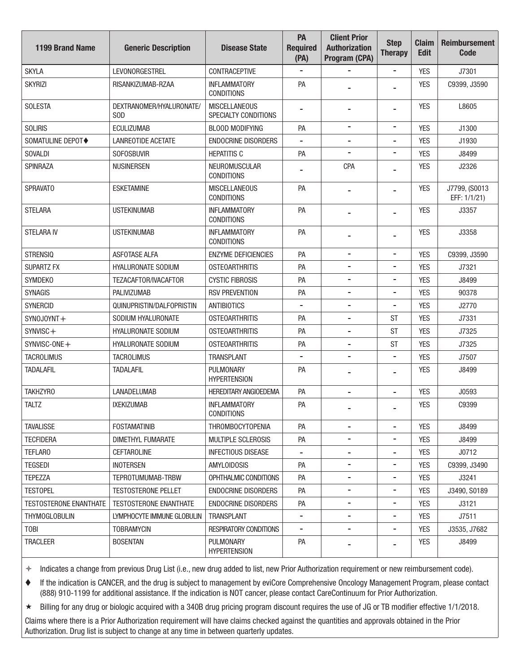| <b>1199 Brand Name</b>        | <b>Generic Description</b>             | <b>Disease State</b>                         | PA<br><b>Required</b><br>(PA) | <b>Client Prior</b><br><b>Authorization</b><br>Program (CPA) | <b>Step</b><br><b>Therapy</b> | <b>Claim</b><br><b>Edit</b> | <b>Reimbursement</b><br>Code  |
|-------------------------------|----------------------------------------|----------------------------------------------|-------------------------------|--------------------------------------------------------------|-------------------------------|-----------------------------|-------------------------------|
| <b>SKYLA</b>                  | LEVONORGESTREL                         | <b>CONTRACEPTIVE</b>                         |                               |                                                              | $\qquad \qquad \blacksquare$  | <b>YES</b>                  | J7301                         |
| <b>SKYRIZI</b>                | RISANKIZUMAB-RZAA                      | <b>INFLAMMATORY</b><br><b>CONDITIONS</b>     | PA                            |                                                              |                               | <b>YES</b>                  | C9399, J3590                  |
| <b>SOLESTA</b>                | DEXTRANOMER/HYALURONATE/<br><b>SOD</b> | <b>MISCELLANEOUS</b><br>SPECIALTY CONDITIONS | $\blacksquare$                | $\overline{\phantom{a}}$                                     | $\blacksquare$                | <b>YES</b>                  | L8605                         |
| <b>SOLIRIS</b>                | <b>ECULIZUMAB</b>                      | <b>BLOOD MODIFYING</b>                       | PA                            | $\blacksquare$                                               | $\blacksquare$                | <b>YES</b>                  | J1300                         |
| SOMATULINE DEPOT◆             | <b>LANREOTIDE ACETATE</b>              | <b>ENDOCRINE DISORDERS</b>                   |                               | $\overline{a}$                                               | $\blacksquare$                | <b>YES</b>                  | J1930                         |
| <b>SOVALDI</b>                | <b>SOFOSBUVIR</b>                      | <b>HEPATITIS C</b>                           | PA                            | $\overline{a}$                                               | $\overline{a}$                | <b>YES</b>                  | J8499                         |
| <b>SPINRAZA</b>               | <b>NUSINERSEN</b>                      | NEUROMUSCULAR<br><b>CONDITIONS</b>           |                               | <b>CPA</b>                                                   |                               | <b>YES</b>                  | J2326                         |
| <b>SPRAVATO</b>               | <b>ESKETAMINE</b>                      | <b>MISCELLANEOUS</b><br><b>CONDITIONS</b>    | PA                            | $\overline{\phantom{a}}$                                     | $\overline{\phantom{0}}$      | <b>YES</b>                  | J7799, (S0013<br>EFF: 1/1/21) |
| <b>STELARA</b>                | <b>USTEKINUMAB</b>                     | <b>INFLAMMATORY</b><br><b>CONDITIONS</b>     | PA                            |                                                              | $\blacksquare$                | <b>YES</b>                  | J3357                         |
| <b>STELARA IV</b>             | <b>USTEKINUMAB</b>                     | <b>INFLAMMATORY</b><br><b>CONDITIONS</b>     | PA                            | $\overline{a}$                                               |                               | <b>YES</b>                  | J3358                         |
| <b>STRENSIQ</b>               | <b>ASFOTASE ALFA</b>                   | <b>ENZYME DEFICIENCIES</b>                   | PA                            | $\overline{a}$                                               | $\blacksquare$                | <b>YES</b>                  | C9399, J3590                  |
| <b>SUPARTZ FX</b>             | <b>HYALURONATE SODIUM</b>              | <b>OSTEOARTHRITIS</b>                        | PA                            | $\overline{\phantom{a}}$                                     | -                             | <b>YES</b>                  | J7321                         |
| <b>SYMDEKO</b>                | TEZACAFTOR/IVACAFTOR                   | <b>CYSTIC FIBROSIS</b>                       | PA                            |                                                              | $\blacksquare$                | <b>YES</b>                  | J8499                         |
| <b>SYNAGIS</b>                | <b>PALIVIZUMAB</b>                     | <b>RSV PREVENTION</b>                        | PA                            | $\overline{\phantom{a}}$                                     | $\overline{a}$                | <b>YES</b>                  | 90378                         |
| <b>SYNERCID</b>               | QUINUPRISTIN/DALFOPRISTIN              | <b>ANTIBIOTICS</b>                           |                               |                                                              | $\blacksquare$                | <b>YES</b>                  | J2770                         |
| SYNOJOYNT+                    | SODIUM HYALURONATE                     | <b>OSTEOARTHRITIS</b>                        | PA                            | $\overline{\phantom{a}}$                                     | <b>ST</b>                     | <b>YES</b>                  | J7331                         |
| SYNVISC+                      | HYALURONATE SODIUM                     | <b>OSTEOARTHRITIS</b>                        | PA                            | $\overline{\phantom{a}}$                                     | <b>ST</b>                     | <b>YES</b>                  | J7325                         |
| SYNVISC-ONE+                  | HYALURONATE SODIUM                     | <b>OSTEOARTHRITIS</b>                        | PA                            | $\overline{a}$                                               | <b>ST</b>                     | <b>YES</b>                  | J7325                         |
| <b>TACROLIMUS</b>             | <b>TACROLIMUS</b>                      | <b>TRANSPLANT</b>                            |                               | $\overline{a}$                                               | $\overline{a}$                | <b>YES</b>                  | J7507                         |
| <b>TADALAFIL</b>              | <b>TADALAFIL</b>                       | PULMONARY<br><b>HYPERTENSION</b>             | PA                            |                                                              |                               | <b>YES</b>                  | J8499                         |
| <b>TAKHZYRO</b>               | <b>LANADELUMAB</b>                     | <b>HEREDITARY ANGIOEDEMA</b>                 | PA                            |                                                              | ۰                             | <b>YES</b>                  | J0593                         |
| <b>TALTZ</b>                  | <b>IXEKIZUMAB</b>                      | <b>INFLAMMATORY</b><br><b>CONDITIONS</b>     | PA                            |                                                              |                               | <b>YES</b>                  | C9399                         |
| <b>TAVALISSE</b>              | <b>FOSTAMATINIB</b>                    | THROMBOCYTOPENIA                             | PA                            | $\overline{a}$                                               |                               | <b>YES</b>                  | J8499                         |
| <b>TECFIDERA</b>              | DIMETHYL FUMARATE                      | <b>MULTIPLE SCLEROSIS</b>                    | PA                            | $\overline{\phantom{a}}$                                     | $\overline{a}$                | <b>YES</b>                  | J8499                         |
| <b>TEFLARO</b>                | <b>CEFTAROLINE</b>                     | <b>INFECTIOUS DISEASE</b>                    |                               |                                                              |                               | <b>YES</b>                  | J0712                         |
| <b>TEGSEDI</b>                | <b>INOTERSEN</b>                       | <b>AMYLOIDOSIS</b>                           | PA                            | $\overline{\phantom{a}}$                                     | -                             | <b>YES</b>                  | C9399, J3490                  |
| <b>TEPEZZA</b>                | TEPROTUMUMAB-TRBW                      | OPHTHALMIC CONDITIONS                        | PA                            | -                                                            | $\overline{\phantom{a}}$      | <b>YES</b>                  | J3241                         |
| <b>TESTOPEL</b>               | <b>TESTOSTERONE PELLET</b>             | <b>ENDOCRINE DISORDERS</b>                   | PA                            | $\overline{\phantom{a}}$                                     | -                             | <b>YES</b>                  | J3490, S0189                  |
| <b>TESTOSTERONE ENANTHATE</b> | <b>TESTOSTERONE ENANTHATE</b>          | ENDOCRINE DISORDERS                          | PA                            |                                                              | $\overline{a}$                | <b>YES</b>                  | J3121                         |
| <b>THYMOGLOBULIN</b>          | LYMPHOCYTE IMMUNE GLOBULIN             | <b>TRANSPLANT</b>                            | $\overline{\phantom{a}}$      | $\overline{\phantom{a}}$                                     | -                             | <b>YES</b>                  | J7511                         |
| <b>TOBI</b>                   | <b>TOBRAMYCIN</b>                      | <b>RESPIRATORY CONDITIONS</b>                |                               |                                                              | -                             | <b>YES</b>                  | J3535, J7682                  |
| <b>TRACLEER</b>               | <b>BOSENTAN</b>                        | <b>PULMONARY</b><br><b>HYPERTENSION</b>      | PA                            |                                                              |                               | <b>YES</b>                  | J8499                         |

 If the indication is CANCER, and the drug is subject to management by eviCore Comprehensive Oncology Management Program, please contact (888) 910-1199 for additional assistance. If the indication is NOT cancer, please contact CareContinuum for Prior Authorization.

Billing for any drug or biologic acquired with a 340B drug pricing program discount requires the use of JG or TB modifer effective 1/1/2018.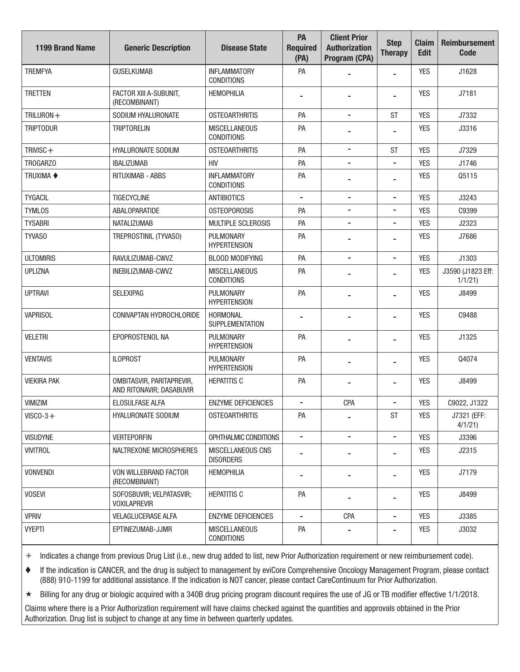| <b>1199 Brand Name</b> | <b>Generic Description</b>                            | <b>Disease State</b>                         | PA<br><b>Required</b><br>(PA) | <b>Client Prior</b><br><b>Authorization</b><br>Program (CPA) | <b>Step</b><br><b>Therapy</b> | <b>Claim</b><br><b>Edit</b> | <b>Reimbursement</b><br><b>Code</b> |
|------------------------|-------------------------------------------------------|----------------------------------------------|-------------------------------|--------------------------------------------------------------|-------------------------------|-----------------------------|-------------------------------------|
| <b>TREMFYA</b>         | <b>GUSELKUMAB</b>                                     | <b>INFLAMMATORY</b><br><b>CONDITIONS</b>     | PA                            |                                                              | $\overline{\phantom{a}}$      | <b>YES</b>                  | J1628                               |
| <b>TRETTEN</b>         | FACTOR XIII A-SUBUNIT,<br>(RECOMBINANT)               | <b>HEMOPHILIA</b>                            |                               | $\blacksquare$                                               | $\overline{a}$                | <b>YES</b>                  | J7181                               |
| TRILURON+              | SODIUM HYALURONATE                                    | <b>OSTEOARTHRITIS</b>                        | PA                            | $\overline{\phantom{a}}$                                     | <b>ST</b>                     | <b>YES</b>                  | J7332                               |
| <b>TRIPTODUR</b>       | <b>TRIPTORELIN</b>                                    | <b>MISCELLANEOUS</b><br><b>CONDITIONS</b>    | PA                            |                                                              | $\overline{a}$                | <b>YES</b>                  | J3316                               |
| TRIVISC+               | <b>HYALURONATE SODIUM</b>                             | <b>OSTEOARTHRITIS</b>                        | PA                            | $\overline{\phantom{a}}$                                     | <b>ST</b>                     | <b>YES</b>                  | J7329                               |
| TROGARZO               | <b>IBALIZUMAB</b>                                     | <b>HIV</b>                                   | PA                            |                                                              | $\overline{a}$                | <b>YES</b>                  | J1746                               |
| <b>TRUXIMA ◆</b>       | <b>RITUXIMAB - ABBS</b>                               | <b>INFLAMMATORY</b><br><b>CONDITIONS</b>     | PA                            |                                                              | -                             | <b>YES</b>                  | Q5115                               |
| <b>TYGACIL</b>         | <b>TIGECYCLINE</b>                                    | <b>ANTIBIOTICS</b>                           | $\overline{\phantom{a}}$      | $\overline{\phantom{a}}$                                     | $\overline{\phantom{a}}$      | <b>YES</b>                  | J3243                               |
| <b>TYMLOS</b>          | ABALOPARATIDE                                         | <b>OSTEOPOROSIS</b>                          | PA                            | $\overline{a}$                                               | -                             | <b>YES</b>                  | C9399                               |
| <b>TYSABRI</b>         | <b>NATALIZUMAB</b>                                    | <b>MULTIPLE SCLEROSIS</b>                    | PA                            | $\blacksquare$                                               | -                             | <b>YES</b>                  | J2323                               |
| TYVAS0                 | TREPROSTINIL (TYVASO)                                 | PULMONARY<br><b>HYPERTENSION</b>             | PA                            |                                                              | $\blacksquare$                | <b>YES</b>                  | J7686                               |
| <b>ULTOMIRIS</b>       | RAVULIZUMAB-CWVZ                                      | <b>BLOOD MODIFYING</b>                       | PA                            | $\overline{\phantom{a}}$                                     | $\overline{\phantom{a}}$      | <b>YES</b>                  | J1303                               |
| <b>UPLIZNA</b>         | INEBILIZUMAB-CWVZ                                     | <b>MISCELLANEOUS</b><br><b>CONDITIONS</b>    | PA                            |                                                              | $\overline{a}$                | <b>YES</b>                  | J3590 (J1823 Eff:<br>1/1/21         |
| <b>UPTRAVI</b>         | <b>SELEXIPAG</b>                                      | PULMONARY<br><b>HYPERTENSION</b>             | PA                            |                                                              | -                             | <b>YES</b>                  | J8499                               |
| <b>VAPRISOL</b>        | CONIVAPTAN HYDROCHLORIDE                              | <b>HORMONAL</b><br><b>SUPPLEMENTATION</b>    |                               |                                                              | -                             | <b>YES</b>                  | C9488                               |
| <b>VELETRI</b>         | EPOPROSTENOL NA                                       | PULMONARY<br><b>HYPERTENSION</b>             | PA                            | $\blacksquare$                                               | -                             | <b>YES</b>                  | J1325                               |
| <b>VENTAVIS</b>        | <b>ILOPROST</b>                                       | PULMONARY<br><b>HYPERTENSION</b>             | PA                            |                                                              |                               | <b>YES</b>                  | Q4074                               |
| <b>VIEKIRA PAK</b>     | OMBITASVIR, PARITAPREVIR,<br>AND RITONAVIR; DASABUVIR | <b>HEPATITIS C</b>                           | PA                            | $\blacksquare$                                               | -                             | <b>YES</b>                  | J8499                               |
| VIMIZIM                | <b>ELOSULFASE ALFA</b>                                | <b>ENZYME DEFICIENCIES</b>                   |                               | <b>CPA</b>                                                   | -                             | <b>YES</b>                  | C9022, J1322                        |
| $VISCO-3+$             | HYALURONATE SODIUM                                    | <b>OSTEOARTHRITIS</b>                        | PA                            |                                                              | <b>ST</b>                     | <b>YES</b>                  | J7321 (EFF:<br>4/1/21               |
| <b>VISUDYNE</b>        | <b>VERTEPORFIN</b>                                    | OPHTHALMIC CONDITIONS                        | $\overline{\phantom{a}}$      | $\overline{\phantom{a}}$                                     | $\overline{\phantom{a}}$      | <b>YES</b>                  | J3396                               |
| <b>VIVITROL</b>        | NALTREXONE MICROSPHERES                               | <b>MISCELLANEOUS CNS</b><br><b>DISORDERS</b> |                               |                                                              |                               | <b>YES</b>                  | J2315                               |
| <b>VONVENDI</b>        | VON WILLEBRAND FACTOR<br>(RECOMBINANT)                | <b>HEMOPHILIA</b>                            |                               |                                                              |                               | <b>YES</b>                  | J7179                               |
| <b>VOSEVI</b>          | SOFOSBUVIR; VELPATASVIR;<br><b>VOXILAPREVIR</b>       | <b>HEPATITIS C</b>                           | PA                            |                                                              | $\overline{\phantom{a}}$      | <b>YES</b>                  | J8499                               |
| <b>VPRIV</b>           | <b>VELAGLUCERASE ALFA</b>                             | <b>ENZYME DEFICIENCIES</b>                   | $\overline{\phantom{a}}$      | <b>CPA</b>                                                   | $\blacksquare$                | <b>YES</b>                  | J3385                               |
| <b>VYEPTI</b>          | EPTINEZUMAB-JJMR                                      | <b>MISCELLANEOUS</b><br><b>CONDITIONS</b>    | PA                            |                                                              |                               | YES                         | J3032                               |

 If the indication is CANCER, and the drug is subject to management by eviCore Comprehensive Oncology Management Program, please contact (888) 910-1199 for additional assistance. If the indication is NOT cancer, please contact CareContinuum for Prior Authorization.

Billing for any drug or biologic acquired with a 340B drug pricing program discount requires the use of JG or TB modifer effective 1/1/2018.